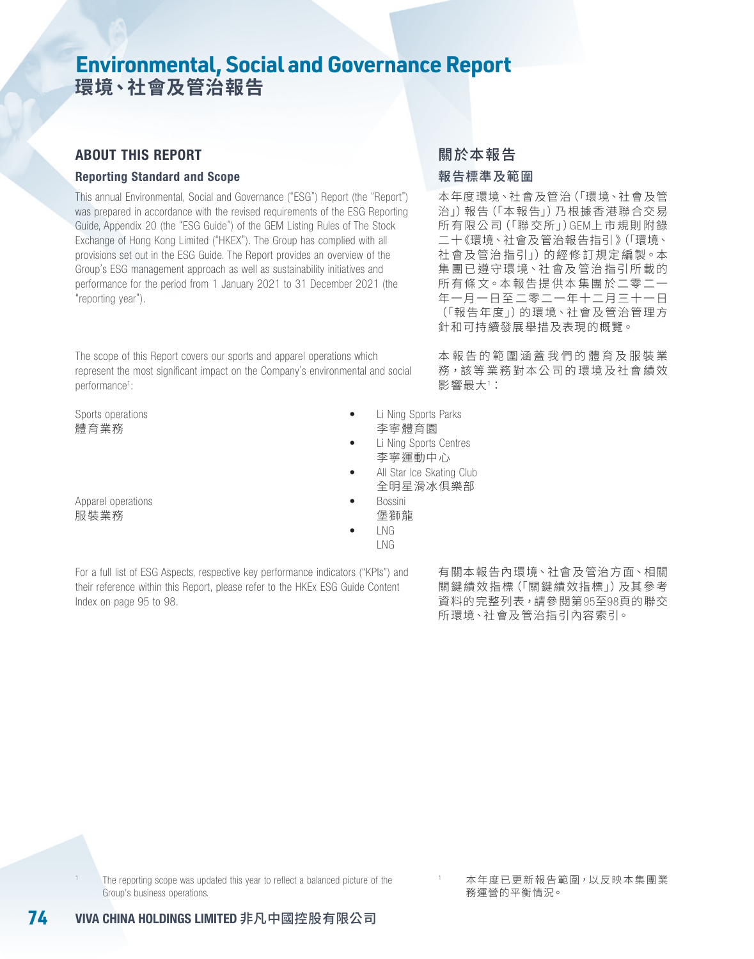### ABOUT THIS REPORT

### Reporting Standard and Scope

This annual Environmental, Social and Governance ("ESG") Report (the "Report") was prepared in accordance with the revised requirements of the ESG Reporting Guide, Appendix 20 (the "ESG Guide") of the GEM Listing Rules of The Stock Exchange of Hong Kong Limited ("HKEX"). The Group has complied with all provisions set out in the ESG Guide. The Report provides an overview of the Group's ESG management approach as well as sustainability initiatives and performance for the period from 1 January 2021 to 31 December 2021 (the "reporting year").

The scope of this Report covers our sports and apparel operations which represent the most significant impact on the Company's environmental and social performance<sup>1</sup>:

**體育業務** インフィッシュ インタン エコン おおや こうきょう かいきょう かいきょう かいきょう かいきょう かいきょう かいきょう かいきょう かいきょう かいきょう かいきょう

Apparel operations 版装業務 しょうしょう しゅうしょう しゅうしょう いっぽん いっぽん しゅうしょう

For a full list of ESG Aspects, respective key performance indicators ("KPIs") and their reference within this Report, please refer to the HKEx ESG Guide Content Index on page 95 to 98.

關於本報告

### 報告標準及範圍

本年度環境、社會及管治(「環境、社會及管 治」)報告(「本報告」)乃根據香港聯合交易 所有限公司(「聯交所」)GEM上市規則附錄 二十《環境、社會及管治報告指引》(「環境、 社會及管治指引」)的經修訂規定編製。本 集團已遵守環境、社會及管治指引所載的 所有條文。本報告提供本集團於二零二一 年一月一日至二零二一年十二月三十一日 (「報告年度」)的環境、社會及管治管理方 針和可持續發展舉措及表現的概覽。

本報告的範圍涵蓋我們的體育及服裝業 務,該等業務對本公司的環境及社會績效 影響最大 $^{\scriptscriptstyle +}$  :

- Sports operations  **Containers Containers Containers Containers Containers Containers Containers Containers Containers Containers Containers Containers and Containers Contai** 
	-
	- Li Ning Sports Centres 李寧運動中心
	- All Star Ice Skating Club 全明星滑冰俱樂部
	-
	- LNG
	- LNG

有關本報告內環境、社會及管治方面、相關 關鍵績效指標(「關鍵績效指標」)及其參考 資料的完整列表,請參閱第95至98頁的聯交 所環境、社會及管治指引內容索引。

The reporting scope was updated this year to reflect a balanced picture of the Group's business operations.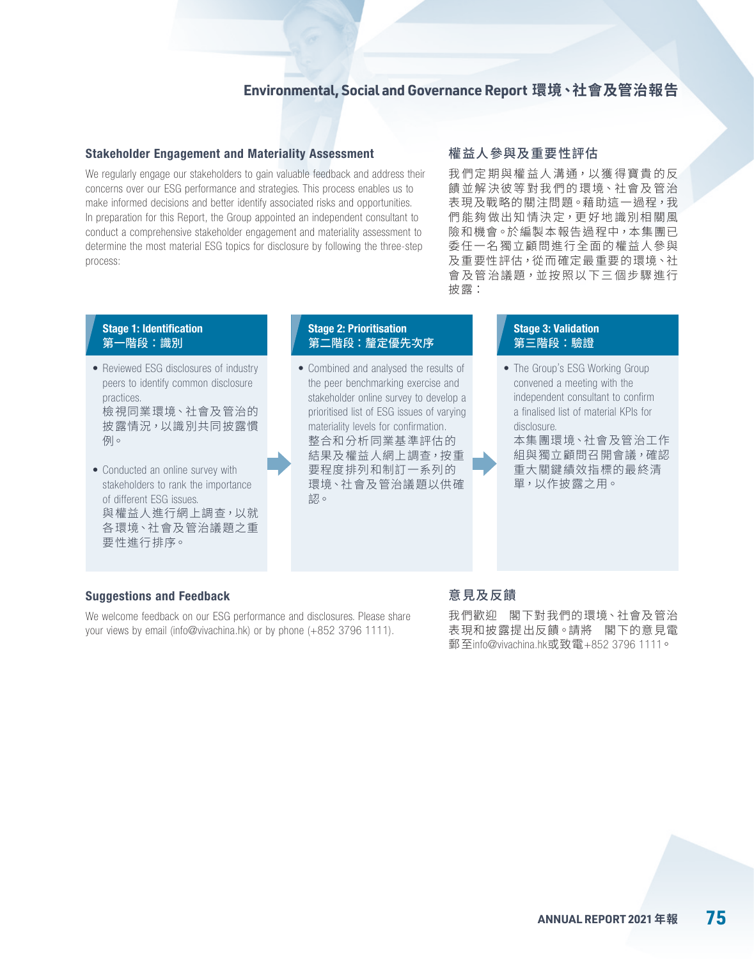#### Stakeholder Engagement and Materiality Assessment

We regularly engage our stakeholders to gain valuable feedback and address their concerns over our ESG performance and strategies. This process enables us to make informed decisions and better identify associated risks and opportunities. In preparation for this Report, the Group appointed an independent consultant to conduct a comprehensive stakeholder engagement and materiality assessment to determine the most material ESG topics for disclosure by following the three-step process:

### 權益人參與及重要性評估

我們定期與權益人溝通,以獲得寶貴的反 饋並解決彼等對我們的環境、社會及管治 表現及戰略的關注問題。藉助這一過程,我 們能夠做出知情決定,更好地識別相關風 險和機會。於編製本報告過程中,本集團已 委任一名獨立顧問進行全面的權益人參與 及重要性評估,從而確定最重要的環境、社 會及管治議題,並按照以下三個步驟進行 披露:

#### **Stage 1: Identification** 第一階段:識別

- Reviewed ESG disclosures of industry peers to identify common disclosure practices. 檢視同業環境、社會及管治的 披露情況,以識別共同披露慣 例。
- Conducted an online survey with stakeholders to rank the importance of different ESG issues. 與權益人進行網上調查,以就 各環境、社會及管治議題之重 要性進行排序。

### Stage 2: Prioritisation 第二階段:釐定優先次序

• Combined and analysed the results of the peer benchmarking exercise and stakeholder online survey to develop a prioritised list of ESG issues of varying materiality levels for confirmation. 整合和分析同業基準評估的 結果及權益人網上調查,按重 要程度排列和制訂一系列的 環境、社會及管治議題以供確 認。

### Stage 3: Validation 第三階段:驗證

• The Group's ESG Working Group convened a meeting with the independent consultant to confirm a finalised list of material KPIs for disclosure.

本集團環境、社會及管治工作 組與獨立顧問召開會議,確認 重大關鍵績效指標的最終清 單,以作披露之用。

### Suggestions and Feedback

We welcome feedback on our ESG performance and disclosures. Please share your views by email (info@vivachina.hk) or by phone (+852 3796 1111).

### 意見及反饋

我們歡迎 閣下對我們的環境、社會及管治 表現和披露提出反饋。請將 閣下的意見電 郵至info@vivachina.hk或致電+852 3796 1111。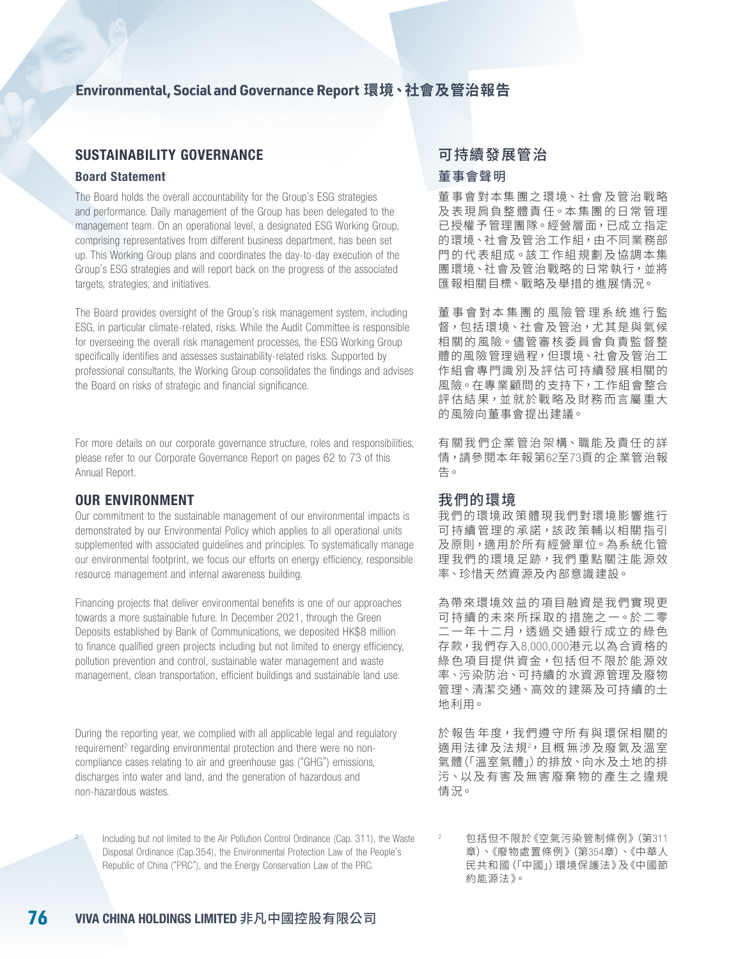### SUSTAINABILITY GOVERNANCE

### Board Statement

The Board holds the overall accountability for the Group's ESG strategies and performance. Daily management of the Group has been delegated to the management team. On an operational level, a designated ESG Working Group, comprising representatives from different business department, has been set up. This Working Group plans and coordinates the day-to-day execution of the Group's ESG strategies and will report back on the progress of the associated targets, strategies, and initiatives.

The Board provides oversight of the Group's risk management system, including ESG, in particular climate-related, risks. While the Audit Committee is responsible for overseeing the overall risk management processes, the ESG Working Group specifically identifies and assesses sustainability-related risks. Supported by professional consultants, the Working Group consolidates the findings and advises the Board on risks of strategic and financial significance.

For more details on our corporate governance structure, roles and responsibilities, please refer to our Corporate Governance Report on pages 62 to 73 of this Annual Report.

### OUR ENVIRONMENT

2

Our commitment to the sustainable management of our environmental impacts is demonstrated by our Environmental Policy which applies to all operational units supplemented with associated guidelines and principles. To systematically manage our environmental footprint, we focus our efforts on energy efficiency, responsible resource management and internal awareness building.

Financing projects that deliver environmental benefits is one of our approaches towards a more sustainable future. In December 2021, through the Green Deposits established by Bank of Communications, we deposited HK\$8 million to finance qualified green projects including but not limited to energy efficiency, pollution prevention and control, sustainable water management and waste management, clean transportation, efficient buildings and sustainable land use.

During the reporting year, we complied with all applicable legal and regulatory requirement<sup>2</sup> regarding environmental protection and there were no noncompliance cases relating to air and greenhouse gas ("GHG") emissions, discharges into water and land, and the generation of hazardous and non-hazardous wastes.

 Including but not limited to the Air Pollution Control Ordinance (Cap. 311), the Waste Disposal Ordinance (Cap.354), the Environmental Protection Law of the People's Republic of China ("PRC"), and the Energy Conservation Law of the PRC.

### 可持續發展管治

### 董事會聲明

董事會對本集團之環境、社會及管治戰略 及表現肩負整體責任。本集團的日常管理 已授權予管理團隊。經營層面,已成立指定 的環境、社會及管治工作組,由不同業務部 門的代表組成。該工作組規劃及協調本集 團環境、社會及管治戰略的日常執行,並將 匯報相關目標、戰略及舉措的進展情況。

董事會對本集團的風險管理系統進行監 督,包括環境、社會及管治,尤其是與氣候 相關的風險。儘管審核委員會負責監督整 體的風險管理過程,但環境、社會及管治工 作組會專門識別及評估可持續發展相關的 風險。在專業顧問的支持下,工作組會整合 評估結果,並就於戰略及財務而言屬重大 的風險向董事會提出建議。

有關我們企業管治架構、職能及責任的詳 情,請參閱本年報第62至73頁的企業管治報 告。

### 我們的環境

我們的環境政策體現我們對環境影響進行 可持續管理的承諾,該政策輔以相關指引 及原則,適用於所有經營單位。為系統化管 理我們的環境足跡,我們重點關注能源效 率、珍惜天然資源及內部意識建設。

為帶來環境效益的項目融資是我們實現更 可持續的未來所採取的措施之一。於二零 二一年十二月,透過交通銀行成立的綠色 存款,我們存入8,000,000港元以為合資格的 綠色項目提供資金,包括但不限於能源效 率、污染防治、可持續的水資源管理及廢物 管理、清潔交通、高效的建築及可持續的土 地利用。

於報告年度,我們遵守所有與環保相關的 適用法律及法規<sup>2</sup>,且概無涉及廢氣及溫室 氣體(「溫室氣體」)的排放、向水及土地的排 污、以及有害及無害廢棄物的產生之違規 情況。

<sup>2</sup> 包括但不限於《空氣污染管制條例》(第311 章)、《廢物處置條例》(第354章)、《中華人 民共和國(「中國」)環境保護法》及《中國節 約能源法》。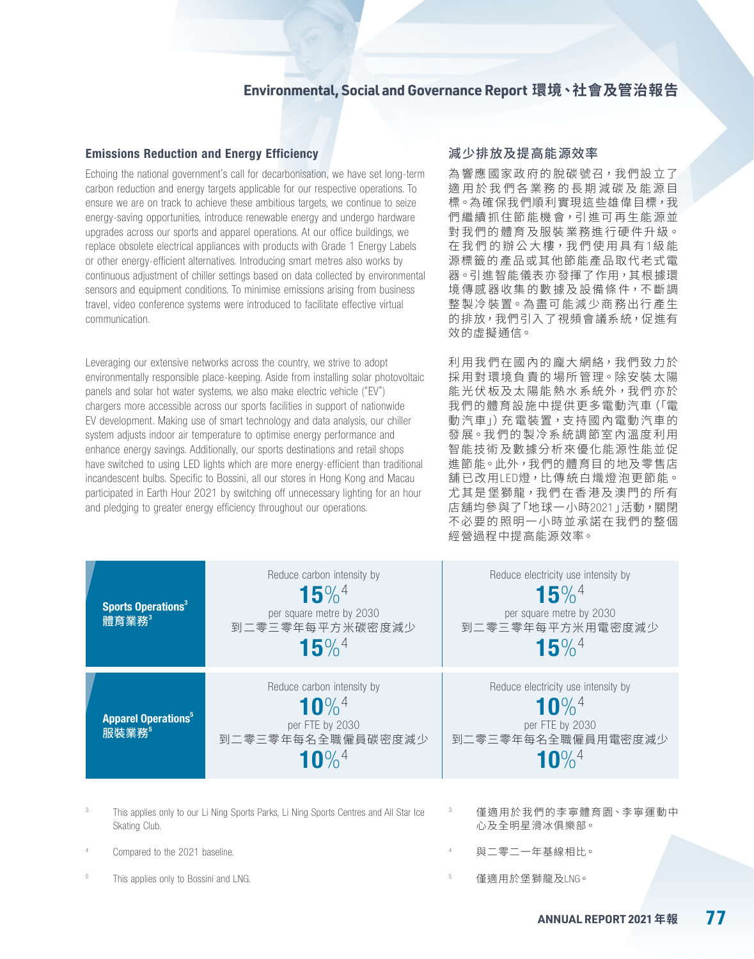#### Emissions Reduction and Energy Efficiency

Echoing the national government's call for decarbonisation, we have set long-term carbon reduction and energy targets applicable for our respective operations. To ensure we are on track to achieve these ambitious targets, we continue to seize energy-saving opportunities, introduce renewable energy and undergo hardware upgrades across our sports and apparel operations. At our office buildings, we replace obsolete electrical appliances with products with Grade 1 Energy Labels or other energy-efficient alternatives. Introducing smart metres also works by continuous adjustment of chiller settings based on data collected by environmental sensors and equipment conditions. To minimise emissions arising from business travel, video conference systems were introduced to facilitate effective virtual communication.

Leveraging our extensive networks across the country, we strive to adopt environmentally responsible place-keeping. Aside from installing solar photovoltaic panels and solar hot water systems, we also make electric vehicle ("EV") chargers more accessible across our sports facilities in support of nationwide EV development. Making use of smart technology and data analysis, our chiller system adjusts indoor air temperature to optimise energy performance and enhance energy savings. Additionally, our sports destinations and retail shops have switched to using LED lights which are more energy-efficient than traditional incandescent bulbs. Specific to Bossini, all our stores in Hong Kong and Macau participated in Earth Hour 2021 by switching off unnecessary lighting for an hour and pledging to greater energy efficiency throughout our operations.

### 減少排放及提高能源效率

為響應國家政府的脫碳號召,我們設立了 適用於我們各業務的長期減碳及能源目 標。為確保我們順利實現這些雄偉目標,我 們繼續抓住節能機會,引進可再生能源並 對我們的體育及服裝業務進行硬件升級。 在我們的辦公大樓,我們使用具有1級能 源標籤的產品或其他節能產品取代老式電 器。引進智能儀表亦發揮了作用,其根據環 境傳感器收集的數據及設備條件,不斷調 整製冷裝置。為盡可能減少商務出行產生 的排放,我們引入了視頻會議系統,促進有 效的虛擬通信。

利用我們在國內的龐大網絡,我們致力於 採用對環境負責的場所管理。除安裝太陽 能光伏板及太陽能熱水系統外,我們亦於 我們的體育設施中提供更多電動汽車(「電 動汽車」)充電裝置,支持國內電動汽車的 發展。我們的製冷系統調節室內溫度利用 智能技術及數據分析來優化能源性能並促 進節能。此外,我們的體育目的地及零售店 舖已改用LED燈,比傳統白熾燈泡更節能。 尤其是堡獅龍,我們在香港及澳門的所有 店舖均參與了「地球一小時2021」活動,關閉 不必要的照明一小時並承諾在我們的整個 經營過程中提高能源效率。

| Sports Operations <sup>3</sup><br>體育業務 <sup>3</sup> | Reduce carbon intensity by<br>$15\%$ <sup>4</sup><br>per square metre by 2030<br>到二零三零年每平方米碳密度減少<br>$15\%$ <sup>4</sup> | Reduce electricity use intensity by<br>$15\%$ <sup>4</sup><br>per square metre by 2030<br>到二零三零年每平方米用電密度減少<br>$15\%$ <sup>4</sup> |
|-----------------------------------------------------|-------------------------------------------------------------------------------------------------------------------------|-----------------------------------------------------------------------------------------------------------------------------------|
| <b>Apparel Operations</b> <sup>5</sup><br>服裝業務5     | Reduce carbon intensity by<br>$10\%$ <sup>4</sup><br>per FTE by 2030<br>到二零三零年每名全職僱員碳密度減少<br>10\% <sup>4</sup>          | Reduce electricity use intensity by<br>$10\%$ <sup>4</sup><br>per FTE by 2030<br>到二零三零年每名全職僱員用電密度減少<br>$10\%$ <sup>4</sup>        |

 This applies only to our Li Ning Sports Parks, Li Ning Sports Centres and All Star Ice Skating Club.

4

5

Compared to the 2021 baseline.

This applies only to Bossini and LNG.

- 僅適用於我們的李寧體育園、李寧運動中 心及全明星滑冰俱樂部。
- <sup>4</sup> 與二零二一年基線相比。

<sup>5</sup> 僅適用於堡獅龍及LNG。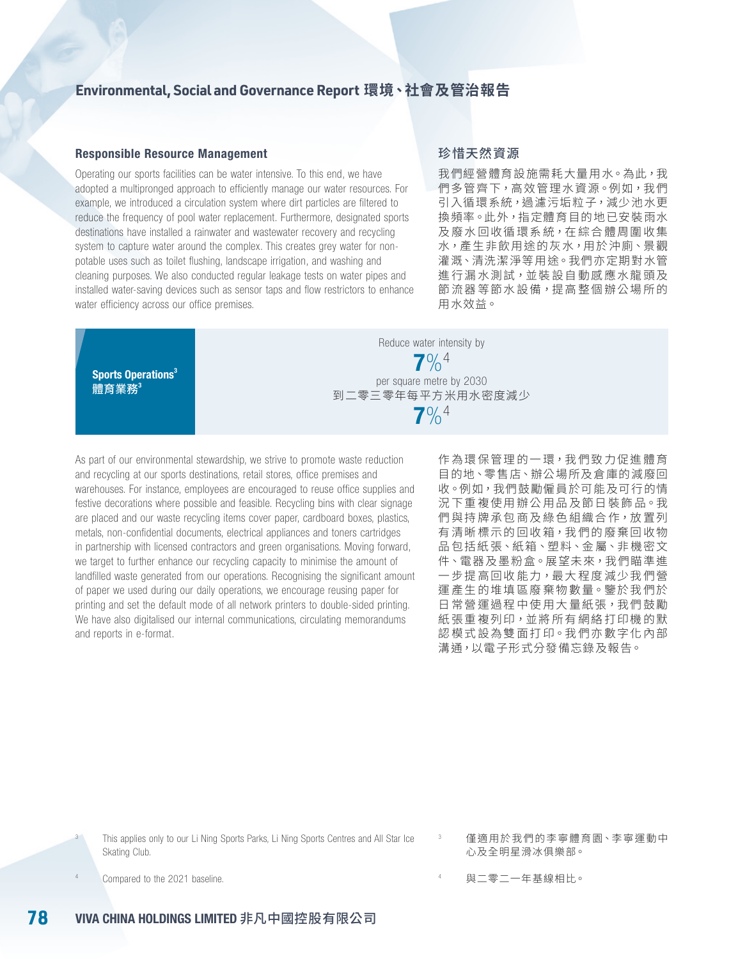#### Responsible Resource Management

Operating our sports facilities can be water intensive. To this end, we have adopted a multipronged approach to efficiently manage our water resources. For example, we introduced a circulation system where dirt particles are filtered to reduce the frequency of pool water replacement. Furthermore, designated sports destinations have installed a rainwater and wastewater recovery and recycling system to capture water around the complex. This creates grey water for nonpotable uses such as toilet flushing, landscape irrigation, and washing and cleaning purposes. We also conducted regular leakage tests on water pipes and installed water-saving devices such as sensor taps and flow restrictors to enhance water efficiency across our office premises.

#### 珍惜天然資源

我們經營體育設施需耗大量用水。為此,我 們多管齊下,高效管理水資源。例如,我們 引入循環系統, 過濾污垢粒子, 減少池水更 換頻率。此外,指定體育目的地已安裝雨水 及廢水回收循環系統,在綜合體周圍收集 水,產生非飲用途的灰水,用於沖廁、景觀 灌溉、清洗潔淨等用途。我們亦定期對水管 進行漏水測試,並裝設自動感應水龍頭及 節流器等節水設備,提高整個辦公場所的 用水效益。

| <b>Sports Operations</b> <sup>3</sup><br>體育業務 <sup>3</sup> | Reduce water intensity by<br>$7\%$ <sup>4</sup><br>per square metre by 2030<br>到二零三零年每平方米用水密度減少<br>$7\%$ <sup>4</sup> |
|------------------------------------------------------------|-----------------------------------------------------------------------------------------------------------------------|
|                                                            |                                                                                                                       |

As part of our environmental stewardship, we strive to promote waste reduction and recycling at our sports destinations, retail stores, office premises and warehouses. For instance, employees are encouraged to reuse office supplies and festive decorations where possible and feasible. Recycling bins with clear signage are placed and our waste recycling items cover paper, cardboard boxes, plastics, metals, non-confidential documents, electrical appliances and toners cartridges in partnership with licensed contractors and green organisations. Moving forward, we target to further enhance our recycling capacity to minimise the amount of landfilled waste generated from our operations. Recognising the significant amount of paper we used during our daily operations, we encourage reusing paper for printing and set the default mode of all network printers to double-sided printing. We have also digitalised our internal communications, circulating memorandums and reports in e-format.

作為環保管理的一環,我們致力促進體育 目的地、零售店、辦公場所及倉庫的減廢回 收。例如,我們鼓勵僱員於可能及可行的情 況下重複使用辦公用品及節日裝飾品。我 們與持牌承包商及綠色組織合作,放置列 有清晰標示的回收箱,我們的廢棄回收物 品包括紙張、紙箱、塑料、金屬、非機密文 件、電器及墨粉盒。展望未來,我們瞄準進 一步提高回收能力,最大程度減少我們營 運產生的堆填區廢棄物數量。鑒於我們於 日常營運過程中使用大量紙張,我們鼓勵 紙張重複列印,並將所有網絡打印機的默 認模式設為雙面打印。我們亦數字化內部 溝通,以電子形式分發備忘錄及報告。

 This applies only to our Li Ning Sports Parks, Li Ning Sports Centres and All Star Ice Skating Club.

Compared to the 2021 baseline.

3

4

僅適用於我們的李寧體育園、李寧運動中 心及全明星滑冰俱樂部。

與二零二一年基線相比。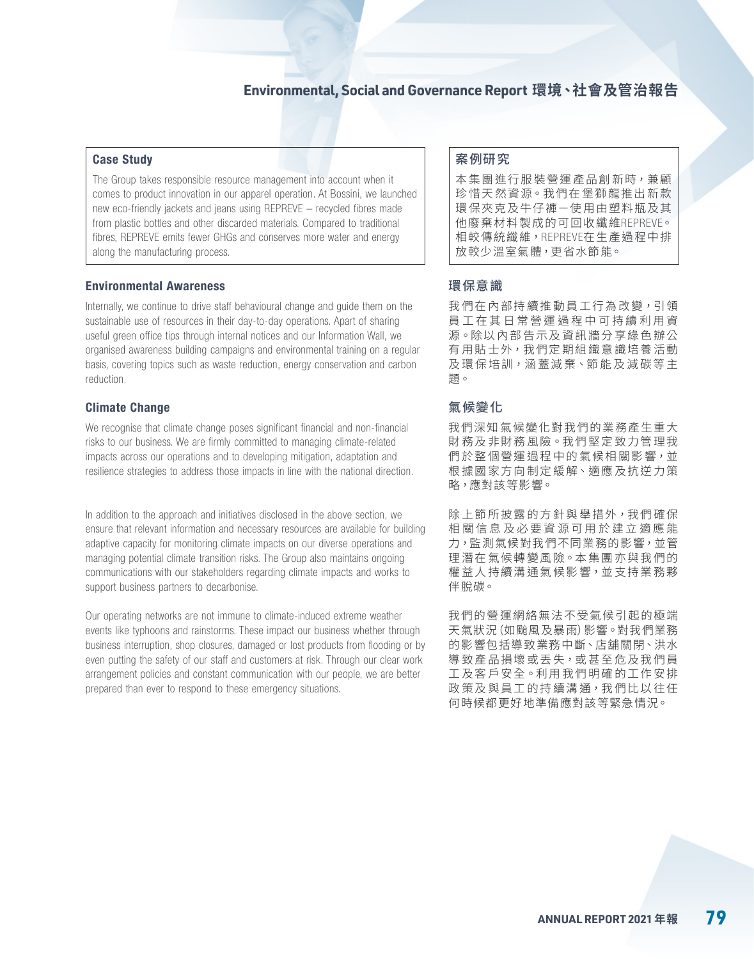#### Case Study

The Group takes responsible resource management into account when it comes to product innovation in our apparel operation. At Bossini, we launched new eco-friendly jackets and jeans using REPREVE – recycled fibres made from plastic bottles and other discarded materials. Compared to traditional fibres, REPREVE emits fewer GHGs and conserves more water and energy along the manufacturing process.

### Environmental Awareness

Internally, we continue to drive staff behavioural change and guide them on the sustainable use of resources in their day-to-day operations. Apart of sharing useful green office tips through internal notices and our Information Wall, we organised awareness building campaigns and environmental training on a regular basis, covering topics such as waste reduction, energy conservation and carbon reduction.

### Climate Change

We recognise that climate change poses significant financial and non-financial risks to our business. We are firmly committed to managing climate-related impacts across our operations and to developing mitigation, adaptation and resilience strategies to address those impacts in line with the national direction.

In addition to the approach and initiatives disclosed in the above section, we ensure that relevant information and necessary resources are available for building adaptive capacity for monitoring climate impacts on our diverse operations and managing potential climate transition risks. The Group also maintains ongoing communications with our stakeholders regarding climate impacts and works to support business partners to decarbonise.

Our operating networks are not immune to climate-induced extreme weather events like typhoons and rainstorms. These impact our business whether through business interruption, shop closures, damaged or lost products from flooding or by even putting the safety of our staff and customers at risk. Through our clear work arrangement policies and constant communication with our people, we are better prepared than ever to respond to these emergency situations.

### 案例研究

本集團進行服裝營運產品創新時,兼顧 珍惜天然資源。我們在堡獅龍推出新款 環保夾克及牛仔褲-使用由塑料瓶及其 他廢棄材料製成的可回收纖維REPREVE。 相較傳統纖維,REPREVE在生產過程中排 放較少溫室氣體,更省水節能。

### 環保意識

我們在內部持續推動員工行為改變,引領 員工在其日常營運過程中可持續利用資 源。除以內部告示及資訊牆分享綠色辦公 有用貼士外,我們定期組織意識培養活動 及環保培訓,涵蓋減棄、節能及減碳等主 題。

### 氣候變化

我們深知氣候變化對我們的業務產生重大 財務及非財務風險。我們堅定致力管理我 們於整個營運過程中的氣候相關影響,並 根據國家方向制定緩解、適應及抗逆力策 略,應對該等影響。

除上節所披露的方針與舉措外,我們確保 相關信息及必要資源可用於建立適應能 力,監測氣候對我們不同業務的影響,並管 理潛在氣候轉變風險。本集團亦與我們的 權益人持續溝通氣候影響,並支持業務夥 伴脫碳。

我們的營運網絡無法不受氣候引起的極端 天氣狀況(如颱風及暴雨)影響。對我們業務 的影響包括導致業務中斷、店舖關閉、洪水 導致產品損壞或丟失,或甚至危及我們員 工及客戶安全。利用我們明確的工作安排 政策及與員工的持續溝通,我們比以往任 何時候都更好地準備應對該等緊急情況。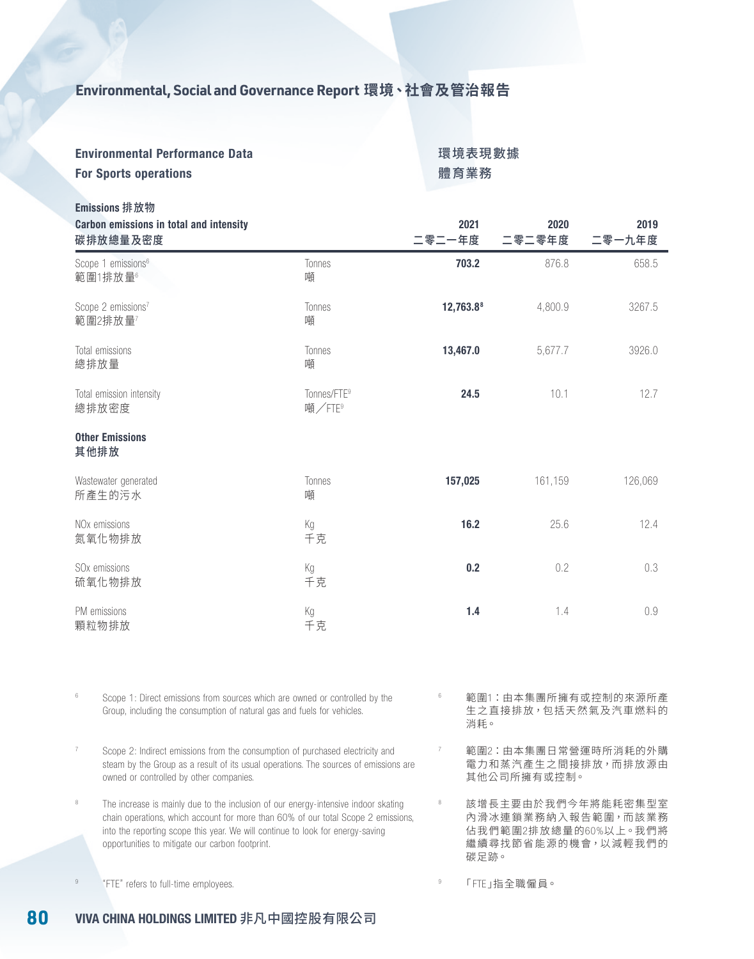| <b>Environmental Performance Data</b><br><b>For Sports operations</b>                                                                                                                                                                                                                                             |                                               | 環境表現數據<br>體育業務    |                                                                                        |                |
|-------------------------------------------------------------------------------------------------------------------------------------------------------------------------------------------------------------------------------------------------------------------------------------------------------------------|-----------------------------------------------|-------------------|----------------------------------------------------------------------------------------|----------------|
| Emissions 排放物<br><b>Carbon emissions in total and intensity</b><br>碳排放總量及密度                                                                                                                                                                                                                                       |                                               | 2021<br>二零二一年度    | 2020<br>二零二零年度                                                                         | 2019<br>二零一九年度 |
| Scope 1 emissions <sup>6</sup><br>範圍1排放量6                                                                                                                                                                                                                                                                         | Tonnes<br>噸                                   | 703.2             | 876.8                                                                                  | 658.5          |
| Scope 2 emissions <sup>7</sup><br>範圍2排放量7                                                                                                                                                                                                                                                                         | Tonnes<br>噸                                   | 12,763.88         | 4,800.9                                                                                | 3267.5         |
| Total emissions<br>總排放量                                                                                                                                                                                                                                                                                           | Tonnes<br>噸                                   | 13,467.0          | 5,677.7                                                                                | 3926.0         |
| Total emission intensity<br>總排放密度                                                                                                                                                                                                                                                                                 | Tonnes/FTE <sup>9</sup><br>噸/FTE <sup>9</sup> | 24.5              | 10.1                                                                                   | 12.7           |
| <b>Other Emissions</b><br>其他排放                                                                                                                                                                                                                                                                                    |                                               |                   |                                                                                        |                |
| Wastewater generated<br>所產生的污水                                                                                                                                                                                                                                                                                    | Tonnes<br>噸                                   | 157,025           | 161,159                                                                                | 126,069        |
| NO <sub>x</sub> emissions<br>氮氧化物排放                                                                                                                                                                                                                                                                               | Kg<br>千克                                      | 16.2              | 25.6                                                                                   | 12.4           |
| SO <sub>x</sub> emissions<br>硫氧化物排放                                                                                                                                                                                                                                                                               | Kg<br>千克                                      | 0.2               | 0.2                                                                                    | 0.3            |
| PM emissions<br>顆粒物排放                                                                                                                                                                                                                                                                                             | Kg<br>千克                                      | 1.4               | 1.4                                                                                    | 0.9            |
| $_{\rm 6}$<br>Scope 1: Direct emissions from sources which are owned or controlled by the<br>Group, including the consumption of natural gas and fuels for vehicles.                                                                                                                                              |                                               | $_{\rm 6}$<br>消耗。 | 範圍1:由本集團所擁有或控制的來源所產<br>生之直接排放,包括天然氣及汽車燃料的                                              |                |
| 7<br>Scope 2: Indirect emissions from the consumption of purchased electricity and<br>steam by the Group as a result of its usual operations. The sources of emissions are<br>owned or controlled by other companies.                                                                                             |                                               | $\,7$             | 範圍2:由本集團日常營運時所消耗的外購<br>電力和蒸汽產生之間接排放,而排放源由<br>其他公司所擁有或控制。                               |                |
| 8<br>The increase is mainly due to the inclusion of our energy-intensive indoor skating<br>chain operations, which account for more than 60% of our total Scope 2 emissions,<br>into the reporting scope this year. We will continue to look for energy-saving<br>opportunities to mitigate our carbon footprint. |                                               | 8<br>碳足跡。         | 該增長主要由於我們今年將能耗密集型室<br>內滑冰連鎖業務納入報告範圍,而該業務<br>佔我們範圍2排放總量的60%以上。我們將<br>繼續尋找節省能源的機會,以減輕我們的 |                |
| "FTE" refers to full-time employees.                                                                                                                                                                                                                                                                              |                                               | 9                 | 「FTE」指全職僱員。                                                                            |                |

## **80 VIVA CHINA HOLDINGS LIMITED 非凡中國控股有限公司**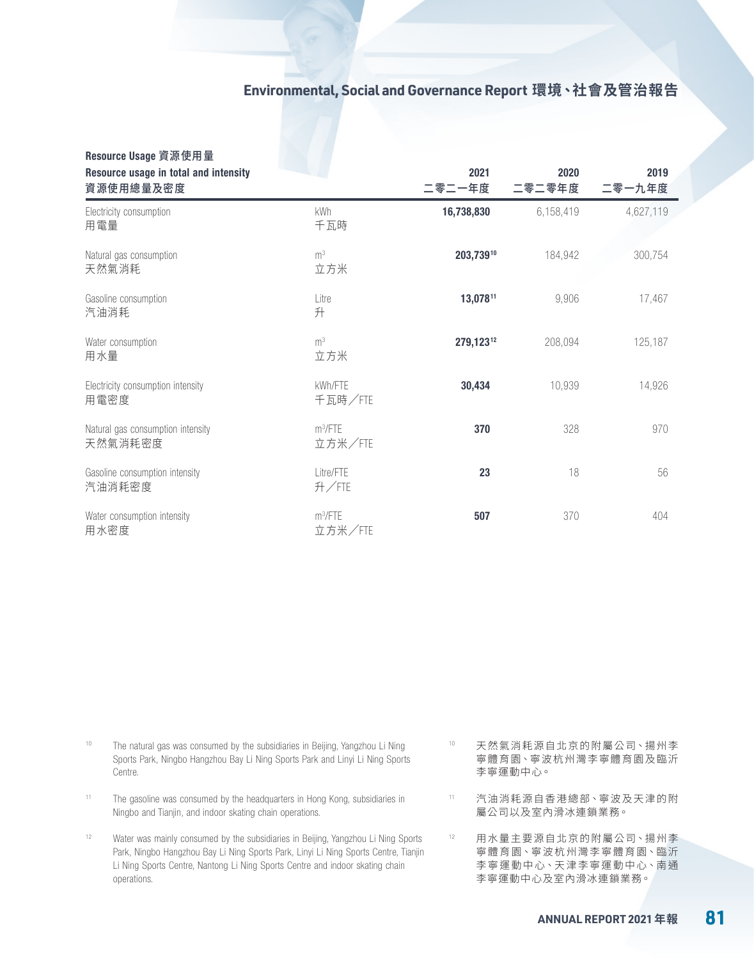| Resource Usage 資源使用量<br>Resource usage in total and intensity<br>資源使用總量及密度 |                       | 2021<br>二零二一年度 | 2020<br>二零二零年度 | 2019<br>二零一九年度 |
|----------------------------------------------------------------------------|-----------------------|----------------|----------------|----------------|
| Electricity consumption<br>用電量                                             | kWh<br>千瓦時            | 16,738,830     | 6,158,419      | 4,627,119      |
| Natural gas consumption<br>天然氣消耗                                           | m <sup>3</sup><br>立方米 | 203,73910      | 184.942        | 300,754        |
| Gasoline consumption<br>汽油消耗                                               | Litre<br>升            | 13,07811       | 9,906          | 17,467         |
| Water consumption<br>用水量                                                   | m <sup>3</sup><br>立方米 | 279,12312      | 208,094        | 125,187        |
| Electricity consumption intensity<br>用電密度                                  | kWh/FTE<br>千瓦時/FTE    | 30,434         | 10,939         | 14,926         |
| Natural gas consumption intensity<br>天然氣消耗密度                               | $m^3$ /FTF<br>立方米/FTE | 370            | 328            | 970            |
| Gasoline consumption intensity<br>汽油消耗密度                                   | Litre/FTF<br>升/FTE    | 23             | 18             | 56             |
| Water consumption intensity<br>用水密度                                        | $m^3$ /FTF<br>立方米/FTE | 507            | 370            | 404            |

<sup>10</sup> The natural gas was consumed by the subsidiaries in Beijing, Yangzhou Li Ning Sports Park, Ningbo Hangzhou Bay Li Ning Sports Park and Linyi Li Ning Sports Centre.

- <sup>11</sup> The gasoline was consumed by the headquarters in Hong Kong, subsidiaries in Ningbo and Tianjin, and indoor skating chain operations.
- <sup>12</sup> Water was mainly consumed by the subsidiaries in Beijing, Yangzhou Li Ning Sports Park, Ningbo Hangzhou Bay Li Ning Sports Park, Linyi Li Ning Sports Centre, Tianjin Li Ning Sports Centre, Nantong Li Ning Sports Centre and indoor skating chain operations.
- <sup>10</sup> 天然氣消耗源自北京的附屬公司、揚州李 寧體育園、寧波杭州灣李寧體育園及臨沂 李寧運動中心。
- <sup>11</sup> 汽油消耗源自香港總部、寧波及天津的附 屬公司以及室內滑冰連鎖業務。
- <sup>12</sup> 用水量主要源自北京的附屬公司、揚州李 寧體育園、寧波杭州灣李寧體育園、臨沂 李寧運動中心、天津李寧運動中心、南通 李寧運動中心及室內滑冰連鎖業務。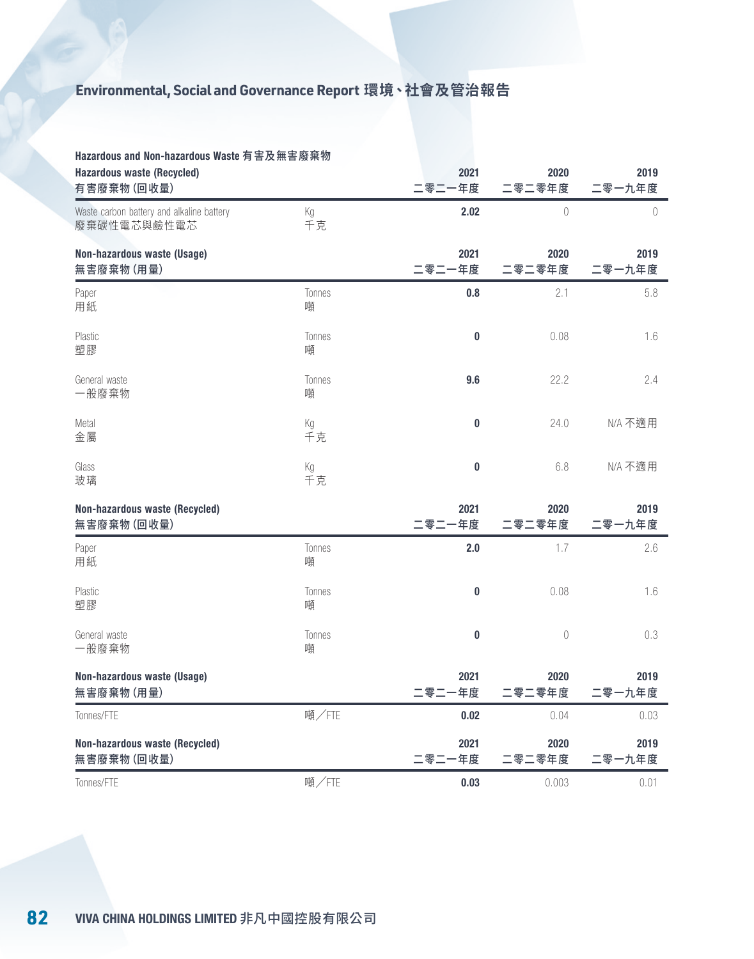| Hazardous and Non-hazardous Waste 有害及無害廢棄物               |             |        |             |         |
|----------------------------------------------------------|-------------|--------|-------------|---------|
| <b>Hazardous waste (Recycled)</b>                        |             | 2021   | 2020        | 2019    |
| 有害廢棄物 (回收量)                                              |             | 二零二一年度 | 二零二零年度      | 二零一九年度  |
| Waste carbon battery and alkaline battery<br>廢棄碳性電芯與鹼性電芯 | Kg<br>千克    | 2.02   | $\mathbb O$ | 0       |
| Non-hazardous waste (Usage)                              |             | 2021   | 2020        | 2019    |
| 無害廢棄物 (用量)                                               |             | 二零二一年度 | 二零二零年度      | 二零一九年度  |
| Paper<br>用紙                                              | Tonnes<br>噸 | 0.8    | 2.1         | 5.8     |
| Plastic<br>塑膠                                            | Tonnes<br>噸 | 0      | 0.08        | 1.6     |
| General waste<br>一般廢棄物                                   | Tonnes<br>噸 | 9.6    | 22.2        | 2.4     |
| Metal<br>金屬                                              | Kg<br>千克    | 0      | 24.0        | N/A 不適用 |
| Glass<br>玻璃                                              | Kg<br>千克    | 0      | 6.8         | N/A 不適用 |
| Non-hazardous waste (Recycled)                           |             | 2021   | 2020        | 2019    |
| 無害廢棄物 (回收量)                                              |             | 二零二一年度 | 二零二零年度      | 二零一九年度  |
| Paper<br>用紙                                              | Tonnes<br>噸 | 2.0    | 1.7         | 2.6     |
| Plastic<br>塑膠                                            | Tonnes<br>噸 | 0      | 0.08        | 1.6     |
| General waste<br>一般廢棄物                                   | Tonnes<br>噸 | 0      | $\theta$    | 0.3     |
| Non-hazardous waste (Usage)                              |             | 2021   | 2020        | 2019    |
| 無害廢棄物 (用量)                                               |             | 二零二一年度 | 零年度         | 二零一九年度  |
| Tonnes/FTE                                               | 噸/FTE       | 0.02   | 0.04        | 0.03    |
| Non-hazardous waste (Recycled)                           |             | 2021   | 2020        | 2019    |
| 無害廢棄物 (回收量)                                              |             | 二零二一年度 | 二零二零年度      | 二零一九年度  |
| Tonnes/FTE                                               | 噸/FTE       | 0.03   | 0.003       | 0.01    |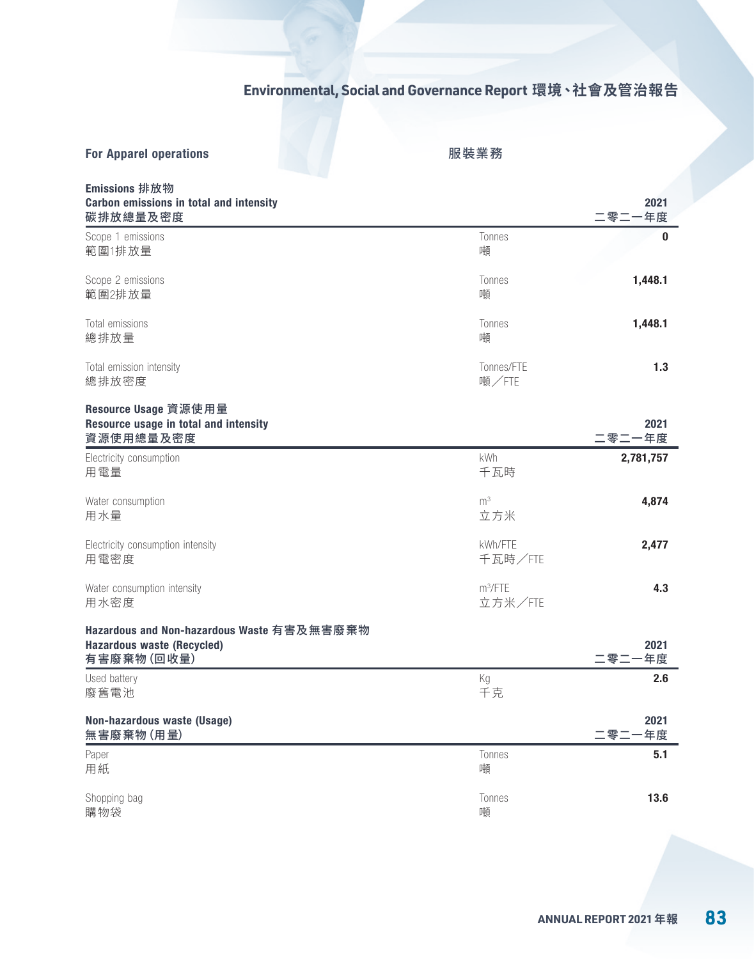### **For Apparel operations** インプレント おものに おものに 服装業務

| Emissions 排放物<br><b>Carbon emissions in total and intensity</b><br>碳排放總量及密度                    |                       | 2021<br>二零二一年度 |
|------------------------------------------------------------------------------------------------|-----------------------|----------------|
| Scope 1 emissions<br>範圍1排放量                                                                    | Tonnes<br>噸           | $\bf{0}$       |
| Scope 2 emissions<br>範圍2排放量                                                                    | Tonnes<br>噸           | 1,448.1        |
| Total emissions<br>總排放量                                                                        | Tonnes<br>噸           | 1,448.1        |
| Total emission intensity<br>總排放密度                                                              | Tonnes/FTE<br>噸/FTE   | 1.3            |
| Resource Usage 資源使用量<br>Resource usage in total and intensity<br>資源使用總量及密度                     |                       | 2021<br>二零二一年度 |
| Electricity consumption<br>用電量                                                                 | kWh<br>千瓦時            | 2,781,757      |
| Water consumption<br>用水量                                                                       | m <sup>3</sup><br>立方米 | 4,874          |
| Electricity consumption intensity<br>用電密度                                                      | kWh/FTE<br>千瓦時/FTE    | 2,477          |
| Water consumption intensity<br>用水密度                                                            | $m^3$ /FTE<br>立方米/FTE | 4.3            |
| Hazardous and Non-hazardous Waste 有害及無害廢棄物<br><b>Hazardous waste (Recycled)</b><br>有害廢棄物 (回收量) |                       | 2021<br>二零二一年度 |
| Used battery<br>廢舊電池                                                                           | Кg<br>千克              | 2.6            |
| Non-hazardous waste (Usage)<br>無害廢棄物 (用量)                                                      |                       | 2021<br>二零二一年度 |
| Paper<br>用紙                                                                                    | Tonnes<br>噸           | 5.1            |
| Shopping bag<br>購物袋                                                                            | Tonnes<br>噸           | 13.6           |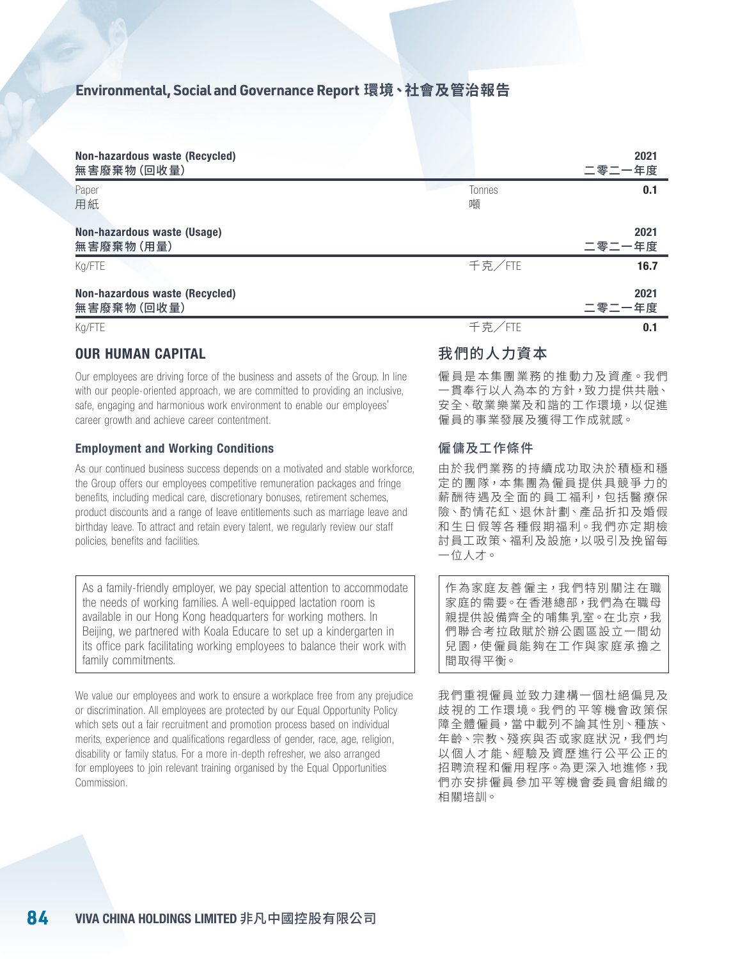| Non-hazardous waste (Recycled)<br>無害廢棄物 (回收量) |             | 2021<br>二零二一年度 |
|-----------------------------------------------|-------------|----------------|
| Paper<br>用紙                                   | Tonnes<br>噸 | 0.1            |
| Non-hazardous waste (Usage)<br>無害廢棄物 (用量)     |             | 2021<br>二零二一年度 |
| Kg/FTE                                        | 千克/FTE      | 16.7           |
| Non-hazardous waste (Recycled)<br>無害廢棄物 (回收量) |             | 2021<br>二零二一年度 |
| Kg/FTE                                        | 千克/FTE      | 0.1            |

### OUR HUMAN CAPITAL

Our employees are driving force of the business and assets of the Group. In line with our people-oriented approach, we are committed to providing an inclusive, safe, engaging and harmonious work environment to enable our employees' career growth and achieve career contentment.

### Employment and Working Conditions

As our continued business success depends on a motivated and stable workforce, the Group offers our employees competitive remuneration packages and fringe benefits, including medical care, discretionary bonuses, retirement schemes, product discounts and a range of leave entitlements such as marriage leave and birthday leave. To attract and retain every talent, we regularly review our staff policies, benefits and facilities.

As a family-friendly employer, we pay special attention to accommodate the needs of working families. A well-equipped lactation room is available in our Hong Kong headquarters for working mothers. In Beijing, we partnered with Koala Educare to set up a kindergarten in its office park facilitating working employees to balance their work with family commitments.

We value our employees and work to ensure a workplace free from any prejudice or discrimination. All employees are protected by our Equal Opportunity Policy which sets out a fair recruitment and promotion process based on individual merits, experience and qualifications regardless of gender, race, age, religion, disability or family status. For a more in-depth refresher, we also arranged for employees to join relevant training organised by the Equal Opportunities Commission.

### 我們的人力資本

僱員是本集團業務的推動力及資產。我們 一貫奉行以人為本的方針,致力提供共融、 安全、敬業樂業及和諧的工作環境,以促進 僱員的事業發展及獲得工作成就感。

### 僱傭及工作條件

由於我們業務的持續成功取決於積極和穩 定的團隊,本集團為僱員提供具競爭力的 薪酬待遇及全面的員工福利,包括醫療保 險、酌情花紅、退休計劃、產品折扣及婚假 和生日假等各種假期福利。我們亦定期檢 討員工政策、福利及設施,以吸引及挽留每 一位人才。

作為家庭友善僱主,我們特別關注在職 家庭的需要。在香港總部,我們為在職母 親提供設備齊全的哺集乳室。在北京,我 們聯合考拉啟賦於辦公園區設立一間幼 兒園,使僱員能夠在工作與家庭承擔之 間取得平衡。

我們重視僱員並致力建構一個杜絕偏見及 歧視的工作環境。我們的平等機會政策保 障全體僱員,當中載列不論其性別、種族、 年齡、宗教、殘疾與否或家庭狀況,我們均 以個人才能、經驗及資歷進行公平公正的 招聘流程和僱用程序。為更深入地進修,我 們亦安排僱員參加平等機會委員會組織的 相關培訓。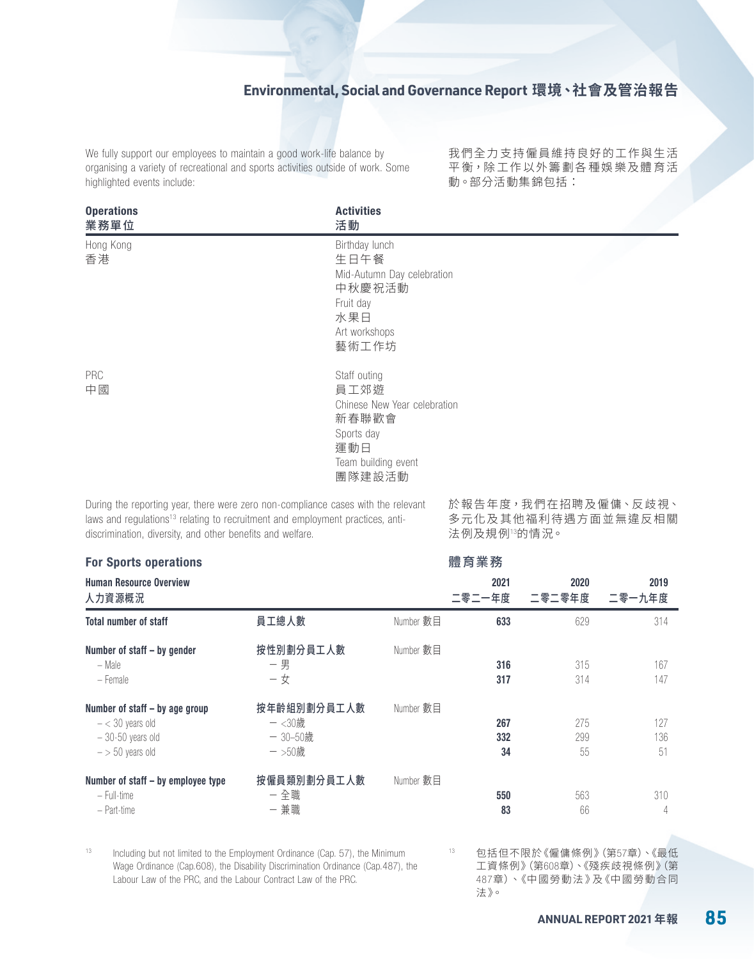We fully support our employees to maintain a good work-life balance by organising a variety of recreational and sports activities outside of work. Some highlighted events include:

我們全力支持僱員維持良好的工作與生活 平衡,除工作以外籌劃各種娛樂及體育活 動。部分活動集錦包括:

| <b>Operations</b><br>業務單位 | <b>Activities</b><br>活動                                                                                             |
|---------------------------|---------------------------------------------------------------------------------------------------------------------|
| Hong Kong<br>香港           | Birthday lunch<br>生日午餐<br>Mid-Autumn Day celebration<br>中秋慶祝活動<br>Fruit day<br>水果日<br>Art workshops<br>藝術工作坊        |
| PRC<br>中國                 | Staff outing<br>員工郊遊<br>Chinese New Year celebration<br>新春聯歡會<br>Sports day<br>運動日<br>Team building event<br>團隊建設活動 |

During the reporting year, there were zero non-compliance cases with the relevant laws and regulations<sup>13</sup> relating to recruitment and employment practices, antidiscrimination, diversity, and other benefits and welfare.

於報告年度,我們在招聘及僱傭、反歧視、 多元化及其他福利待遇方面並無違反相關 法例及規例<sup>13</sup>的情況。

| <b>For Sports operations</b>                                                                     |                                                 |           | 體育業務             |                  |                  |
|--------------------------------------------------------------------------------------------------|-------------------------------------------------|-----------|------------------|------------------|------------------|
| <b>Human Resource Overview</b><br>人力資源概況                                                         |                                                 |           | 2021<br>二零二一年度   | 2020<br>二零二零年度   | 2019<br>二零一九年度   |
| <b>Total number of staff</b>                                                                     | 員工總人數                                           | Number 數目 | 633              | 629              | 314              |
| Number of staff - by gender<br>- Male<br>- Female                                                | 按性別劃分員工人數<br>- 男<br>$-\not\in$                  | Number 數目 | 316<br>317       | 315<br>314       | 167<br>147       |
| Number of staff - by age group<br>$- < 30$ years old<br>$-30-50$ years old<br>$-$ > 50 years old | 按年齡組別劃分員工人數<br>$-$ <30歳<br>- 30-50歲<br>$-$ >50歲 | Number 數目 | 267<br>332<br>34 | 275<br>299<br>55 | 127<br>136<br>51 |
| Number of staff - by employee type<br>$-$ Full-time<br>- Part-time                               | 按僱員類別劃分員工人數<br>-全職<br>- 兼職                      | Number 數目 | 550<br>83        | 563<br>66        | 310<br>4         |

 $13$  Including but not limited to the Employment Ordinance (Cap. 57), the Minimum Wage Ordinance (Cap.608), the Disability Discrimination Ordinance (Cap.487), the Labour Law of the PRC, and the Labour Contract Law of the PRC.

<sup>13</sup> 包括但不限於《僱傭條例》(第57章)、《最低 工資條例》(第608章)、《殘疾歧視條例》(第 487章)、《中國勞動法 》及《中國勞動合同 法》。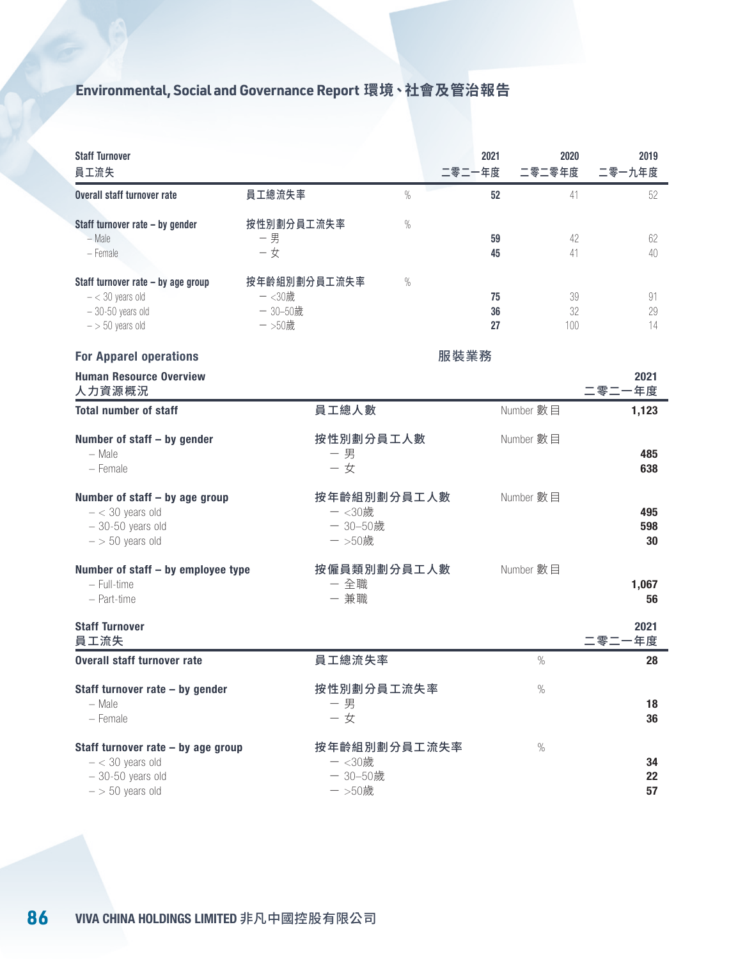| <b>Staff Turnover</b><br>員工流失                                                                        |                                                    |              | 2021<br>二零二一年度 | 2020<br>二零二零年度  |        | 2019<br>二零一九年度        |
|------------------------------------------------------------------------------------------------------|----------------------------------------------------|--------------|----------------|-----------------|--------|-----------------------|
| <b>Overall staff turnover rate</b>                                                                   | 員工總流失率                                             | $\%$         | 52             | 41              |        | 52                    |
| Staff turnover rate - by gender<br>$-$ Male<br>- Female                                              | 按性別劃分員工流失率<br>- 男<br>- 女                           | $\%$         | 59<br>45       | 42<br>41        |        | 62<br>40 <sup>°</sup> |
| Staff turnover rate - by age group<br>$- < 30$ years old<br>$-30-50$ years old<br>$-$ > 50 years old | 按年齡組別劃分員工流失率<br>$-$ <30歲<br>$-30-50$ 歳<br>$-$ >50歳 | $\%$         | 75<br>36<br>27 | 39<br>32<br>100 |        | 91<br>29<br>14        |
| <b>For Apparel operations</b>                                                                        |                                                    |              | 服裝業務           |                 |        |                       |
| <b>Human Resource Overview</b><br>人力資源概況                                                             |                                                    |              |                |                 | 二零二一年度 | 2021                  |
| <b>Total number of staff</b>                                                                         | 員工總人數                                              |              |                | Number 數目       |        | 1,123                 |
| Number of staff - by gender<br>$-$ Male<br>$-$ Female                                                | 按性別劃分員工人數<br>- 男<br>- 女                            |              |                | Number 數目       |        | 485<br>638            |
| Number of staff - by age group<br>$- < 30$ years old<br>$-30-50$ years old<br>$-$ > 50 years old     | 一 <30歲<br>一 30-50歲<br>一 >50歲                       | 按年齡組別劃分員工人數  |                | Number 數目       |        | 495<br>598<br>30      |
| Number of staff - by employee type<br>$-$ Full-time<br>- Part-time                                   | - 全職<br>一 兼職                                       | 按僱員類別劃分員工人數  |                | Number 數目       |        | 1,067<br>56           |
| <b>Staff Turnover</b><br>員工流失                                                                        |                                                    |              |                |                 | 二零二一年度 | 2021                  |
| <b>Overall staff turnover rate</b>                                                                   | 員工總流失率                                             |              |                | $\%$            |        | 28                    |
| Staff turnover rate - by gender<br>$-$ Male<br>$-$ Female                                            | - 男<br>- 女                                         | 按性別劃分員工流失率   |                | $\%$            |        | 18<br>36              |
| Staff turnover rate - by age group<br>$- < 30$ years old<br>$-30-50$ years old<br>$-$ > 50 years old | 一 <30歲<br>- 30-50歲<br>一 >50歲                       | 按年齡組別劃分員工流失率 |                | $\%$            |        | 34<br>22<br>57        |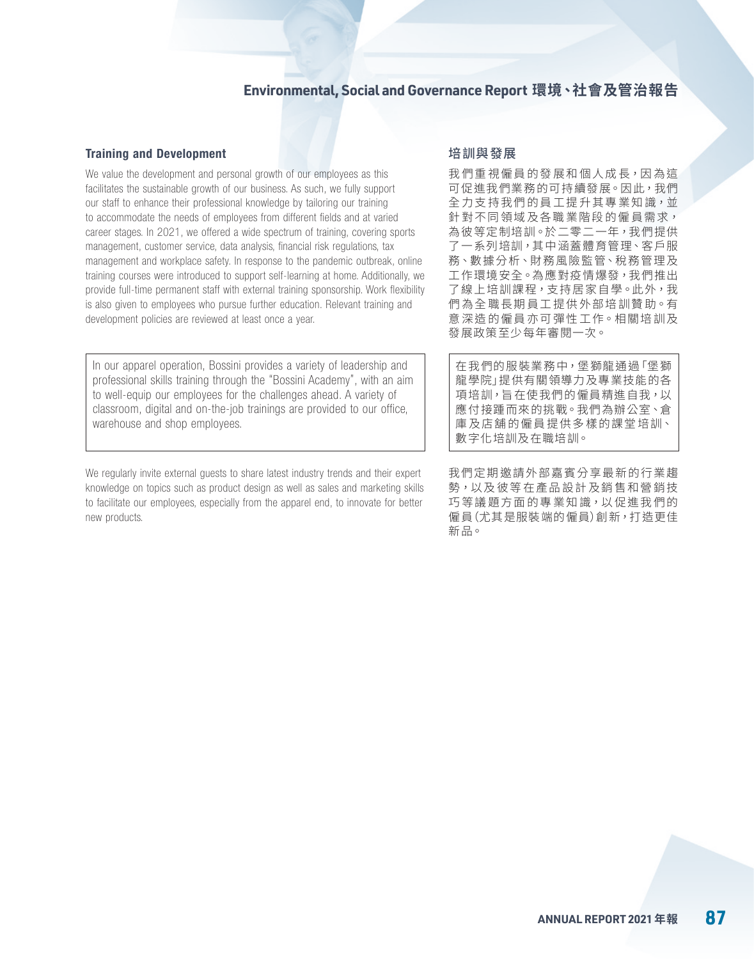#### Training and Development

We value the development and personal growth of our employees as this facilitates the sustainable growth of our business. As such, we fully support our staff to enhance their professional knowledge by tailoring our training to accommodate the needs of employees from different fields and at varied career stages. In 2021, we offered a wide spectrum of training, covering sports management, customer service, data analysis, financial risk regulations, tax management and workplace safety. In response to the pandemic outbreak, online training courses were introduced to support self-learning at home. Additionally, we provide full-time permanent staff with external training sponsorship. Work flexibility is also given to employees who pursue further education. Relevant training and development policies are reviewed at least once a year.

In our apparel operation, Bossini provides a variety of leadership and professional skills training through the "Bossini Academy", with an aim to well-equip our employees for the challenges ahead. A variety of classroom, digital and on-the-job trainings are provided to our office, warehouse and shop employees.

We regularly invite external quests to share latest industry trends and their expert knowledge on topics such as product design as well as sales and marketing skills to facilitate our employees, especially from the apparel end, to innovate for better new products.

#### 培訓與發展

我們重視僱員的發展和個人成長,因為這 可促進我們業務的可持續發展。因此,我們 全力支持我們的員工提升其專業知識,並 針對不同領域及各職業階段的僱員需求, 為彼等定制培訓。於二零二一年,我們提供 了一系列培訓,其中涵蓋體育管理、客戶服 務、數據分析、財務風險監管、稅務管理及 工作環境安全。為應對疫情爆發,我們推出 了線上培訓課程,支持居家自學。此外,我 們為全職長期員工提供外部培訓贊助。有 意深造的僱員亦可彈性工作。相關培訓及 發展政策至少每年審閱一次。

在我們的服裝業務中,堡獅龍通過「堡獅 龍學院」提供有關領導力及專業技能的各 項培訓,旨在使我們的僱員精進自我,以 應付接踵而來的挑戰。我們為辦公室、倉 庫及店舖的僱員提供多樣的課堂培訓、 數字化培訓及在職培訓。

我們定期邀請外部嘉賓分享最新的行業趨 勢,以及彼等在產品設計及銷售和營銷技 巧等議題方面的專業知識,以促進我們的 僱員(尤其是服裝端的僱員)創新,打造更佳 新品。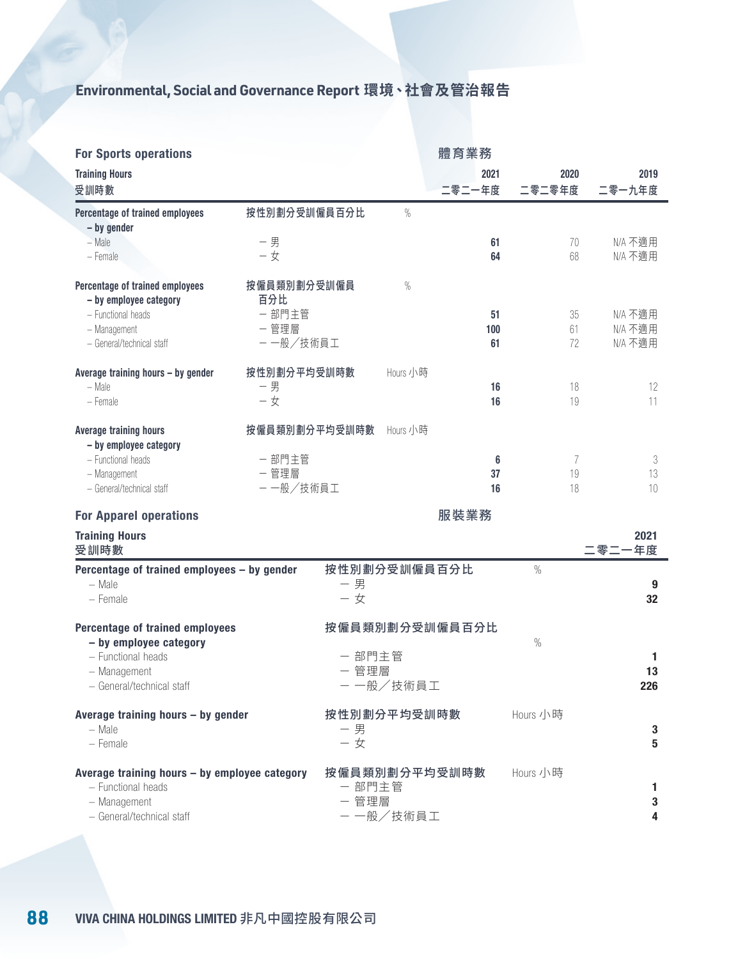| <b>For Sports operations</b>                              |                    |                 |              | 體育業務           |                |                |
|-----------------------------------------------------------|--------------------|-----------------|--------------|----------------|----------------|----------------|
| <b>Training Hours</b><br>受訓時數                             |                    |                 |              | 2021<br>二零二一年度 | 2020<br>二零二零年度 | 2019<br>二零一九年度 |
| Percentage of trained employees<br>- by gender            | 按性別劃分受訓僱員百分比       |                 | $\%$         |                |                |                |
| - Male                                                    | - 男                |                 |              | 61             | 70             | N/A 不適用        |
| - Female                                                  | $-\notin$          |                 |              | 64             | 68             | N/A 不適用        |
| Percentage of trained employees<br>- by employee category | 按僱員類別劃分受訓僱員<br>百分比 |                 | $\%$         |                |                |                |
| - Functional heads                                        | - 部門主管             |                 |              | 51             | 35             | N/A 不適用        |
| - Management                                              | - 管理層              |                 |              | 100            | 61             | N/A 不適用        |
| - General/technical staff                                 | --般/技術員工           |                 |              | 61             | 72             | N/A 不適用        |
| Average training hours - by gender                        | 按性別劃分平均受訓時數        |                 | Hours 小時     |                |                |                |
| - Male<br>- Female                                        | - 男<br>$-\not\in$  |                 |              | 16<br>16       | 18<br>19       | 12<br>11       |
|                                                           |                    |                 |              |                |                |                |
| <b>Average training hours</b>                             | 按僱員類別劃分平均受訓時數      |                 | Hours 小時     |                |                |                |
| - by employee category<br>- Functional heads              | - 部門主管             |                 |              | 6              | 7              | 3              |
| - Management                                              | - 管理層              |                 |              | 37             | 19             | 13             |
| - General/technical staff                                 | --般/技術員工           |                 |              | 16             | 18             | 10             |
| <b>For Apparel operations</b>                             |                    |                 |              | 服裝業務           |                |                |
| <b>Training Hours</b><br>受訓時數                             |                    |                 |              |                |                | 2021<br>二零二一年度 |
| Percentage of trained employees - by gender<br>- Male     |                    | - 男             | 按性別劃分受訓僱員百分比 |                | $\%$           | 9              |
| - Female                                                  |                    | - 女             |              |                |                | 32             |
| Percentage of trained employees                           |                    |                 |              | 按僱員類別劃分受訓僱員百分比 |                |                |
| - by employee category                                    |                    |                 |              |                | $\%$           |                |
| - Functional heads                                        |                    | - 部門主管          |              |                |                | 1              |
| - Management                                              |                    | - 管理層           |              |                |                | 13             |
| - General/technical staff                                 |                    |                 | 一一般/技術員工     |                |                | 226            |
| Average training hours - by gender                        |                    |                 | 按性別劃分平均受訓時數  |                | Hours 小時       |                |
| $-$ Male<br>- Female                                      |                    | 一 男<br>- 女      |              |                |                | 3<br>5         |
|                                                           |                    |                 |              |                |                |                |
| Average training hours - by employee category             |                    | 按僱員類別劃分平均受訓時數   |              |                | Hours 小時       |                |
| - Functional heads<br>- Management                        |                    | - 部門主管<br>- 管理層 |              |                |                | 1.             |
| - General/technical staff                                 |                    |                 | --般/技術員工     |                |                | 3<br>4         |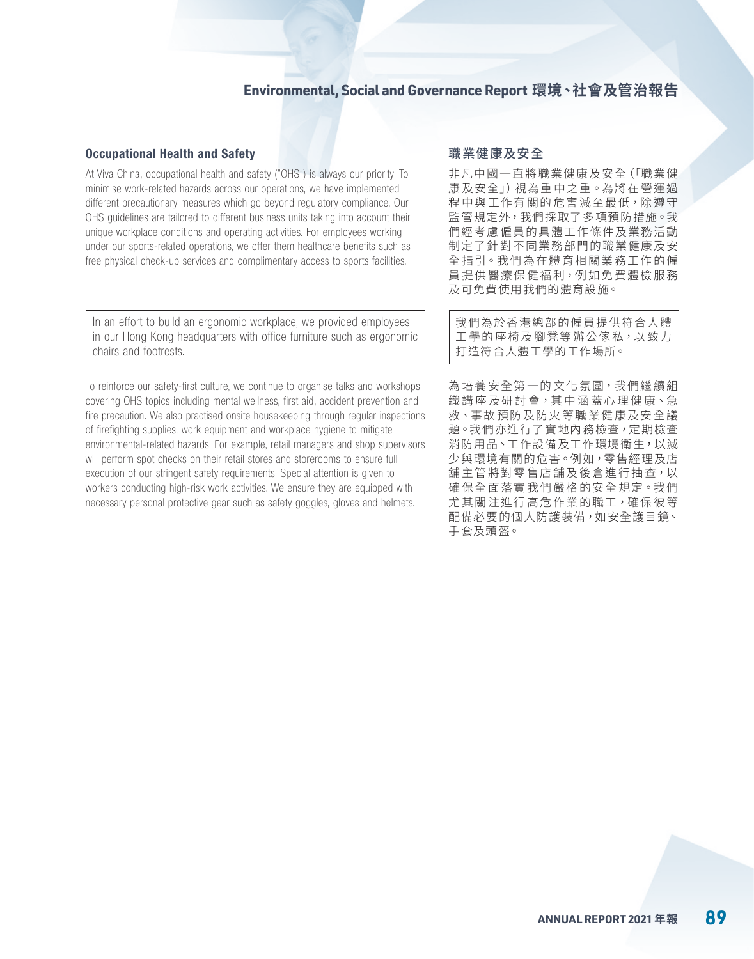#### Occupational Health and Safety

At Viva China, occupational health and safety ("OHS") is always our priority. To minimise work-related hazards across our operations, we have implemented different precautionary measures which go beyond regulatory compliance. Our OHS guidelines are tailored to different business units taking into account their unique workplace conditions and operating activities. For employees working under our sports-related operations, we offer them healthcare benefits such as free physical check-up services and complimentary access to sports facilities.

In an effort to build an ergonomic workplace, we provided employees in our Hong Kong headquarters with office furniture such as ergonomic chairs and footrests.

To reinforce our safety-first culture, we continue to organise talks and workshops covering OHS topics including mental wellness, first aid, accident prevention and fire precaution. We also practised onsite housekeeping through regular inspections of firefighting supplies, work equipment and workplace hygiene to mitigate environmental-related hazards. For example, retail managers and shop supervisors will perform spot checks on their retail stores and storerooms to ensure full execution of our stringent safety requirements. Special attention is given to workers conducting high-risk work activities. We ensure they are equipped with necessary personal protective gear such as safety goggles, gloves and helmets.

### 職業健康及安全

非凡中國一直將職業健康及安全(「職業健 康及安全」)視為重中之重。為將在營運過 程中與工作有關的危害減至最低,除遵守 監管規定外,我們採取了多項預防措施。我 們經考慮僱員的具體工作條件及業務活動 制定了針對不同業務部門的職業健康及安 全指引。我們為在體育相關業務工作的僱 員提供醫療保健福利,例如免費體檢服務 及可免費使用我們的體育設施。

我們為於香港總部的僱員提供符合人體 工學的座椅及腳凳等辦公傢私,以致力 打造符合人體工學的工作場所。

為培養安全第一的文化氛圍,我們繼續組 織講座及研討會,其中涵蓋心理健康、急 救、事故預防及防火等職業健康及安全議 題。我們亦進行了實地內務檢查,定期檢查 消防用品、工作設備及工作環境衛生,以減 少與環境有關的危害。例如,零售經理及店 舖主管將對零售店舖及後倉進行抽查,以 確保全面落實我們嚴格的安全規定。我們 尤其關注進行高危作業的職工,確保彼等 配備必要的個人防護裝備,如安全護目鏡、 手套及頭盔。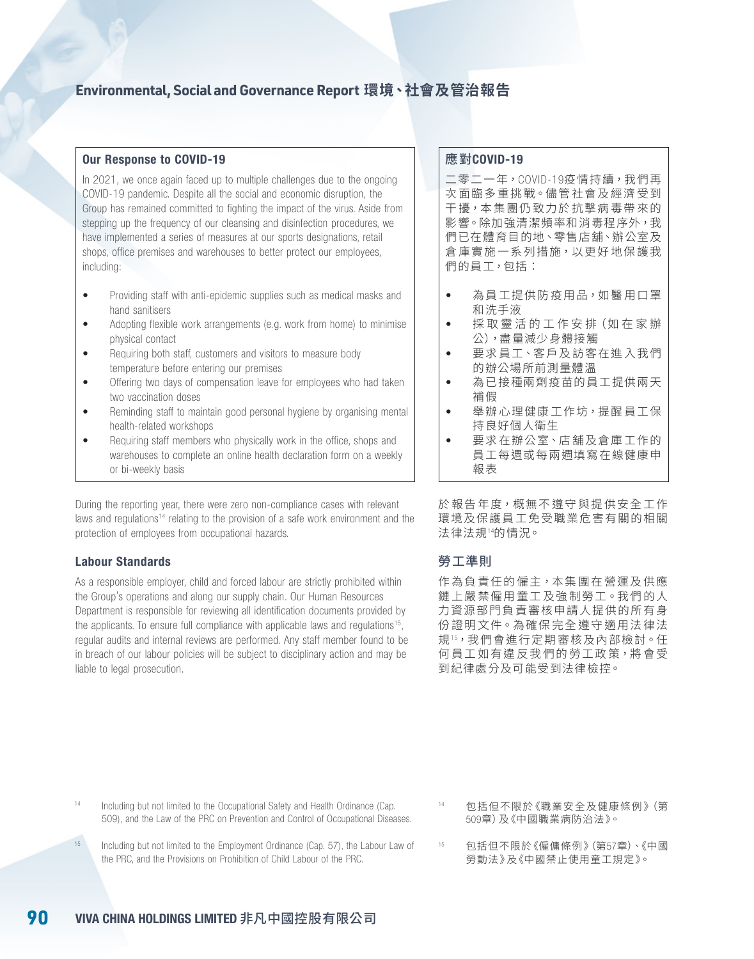#### Our Response to COVID-19

In 2021, we once again faced up to multiple challenges due to the ongoing COVID-19 pandemic. Despite all the social and economic disruption, the Group has remained committed to fighting the impact of the virus. Aside from stepping up the frequency of our cleansing and disinfection procedures, we have implemented a series of measures at our sports designations, retail shops, office premises and warehouses to better protect our employees, including:

- Providing staff with anti-epidemic supplies such as medical masks and hand sanitisers
- Adopting flexible work arrangements (e.g. work from home) to minimise physical contact
- Requiring both staff, customers and visitors to measure body temperature before entering our premises
- Offering two days of compensation leave for employees who had taken two vaccination doses
- Reminding staff to maintain good personal hygiene by organising mental health-related workshops
- Requiring staff members who physically work in the office, shops and warehouses to complete an online health declaration form on a weekly or bi-weekly basis

During the reporting year, there were zero non-compliance cases with relevant laws and regulations<sup>14</sup> relating to the provision of a safe work environment and the protection of employees from occupational hazards.

#### Labour Standards

As a responsible employer, child and forced labour are strictly prohibited within the Group's operations and along our supply chain. Our Human Resources Department is responsible for reviewing all identification documents provided by the applicants. To ensure full compliance with applicable laws and regulations<sup>15</sup>, regular audits and internal reviews are performed. Any staff member found to be in breach of our labour policies will be subject to disciplinary action and may be liable to legal prosecution.

### 應對COVID-19

二零二一年,COVID-19疫情持續,我們再 次面臨多重挑戰。儘管社會及經濟受到 干擾,本集團仍致力於抗擊病毒帶來的 影響。除加強清潔頻率和消毒程序外,我 們已在體育目的地、零售店舖、辦公室及 倉庫實施一系列措施,以更好地保護我 們的員工,包括:

- 為員工提供防疫用品,如醫用口罩 和洗手液
- 採 取 靈 活 的 工 作 安 排(如 在 家 辦 公),盡量減少身體接觸
- 要求員工、客戶及訪客在進入我們 的辦公場所前測量體溫
- 為已接種兩劑疫苗的員工提供兩天 補假
- 舉辦心理健康工作坊,提醒員工保 持良好個人衛生
- 要求在辦公室、店舖及倉庫工作的 員工每週或每兩週填寫在線健康申 報表

於報告年度,概無不遵守與提供安全工作 環境及保護員工免受職業危害有關的相關 法律法規<sup>14</sup>的情況。

### 勞工準則

作為負責任的僱主,本集團在營運及供應 鏈上嚴禁僱用童工及強制勞工。我們的人 力資源部門負責審核申請人提供的所有身 份證明文件。為確保完全遵守適用法律法 規<sup>15</sup>,我們會進行定期審核及內部檢討。任 何員工如有違反我們的勞工政策,將會受 到紀律處分及可能受到法律檢控。

- <sup>14</sup> Including but not limited to the Occupational Safety and Health Ordinance (Cap. 509), and the Law of the PRC on Prevention and Control of Occupational Diseases.
- 15 Including but not limited to the Employment Ordinance (Cap. 57), the Labour Law of the PRC, and the Provisions on Prohibition of Child Labour of the PRC.
- <sup>14</sup> 包括但不限於《職業安全及健康條例》(第 509章)及《中國職業病防治法》。
- <sup>15</sup> 包括但不限於《僱傭條例》(第57章)、《中國 勞動法》及《中國禁止使用童工規定》。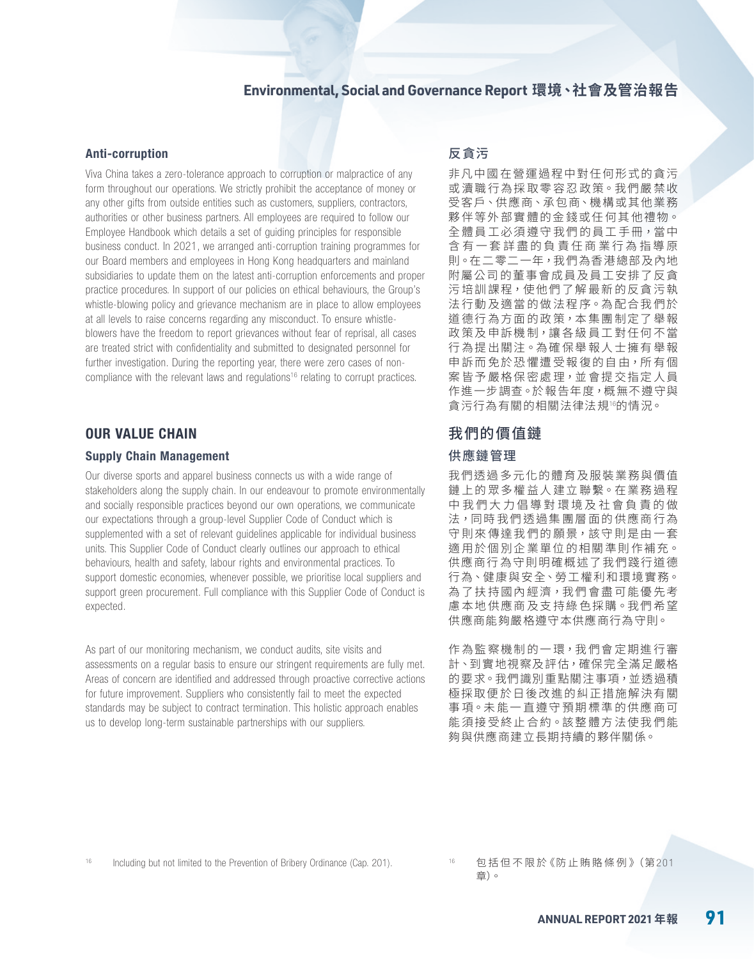#### Anti-corruption

Viva China takes a zero-tolerance approach to corruption or malpractice of any form throughout our operations. We strictly prohibit the acceptance of money or any other gifts from outside entities such as customers, suppliers, contractors, authorities or other business partners. All employees are required to follow our Employee Handbook which details a set of guiding principles for responsible business conduct. In 2021, we arranged anti-corruption training programmes for our Board members and employees in Hong Kong headquarters and mainland subsidiaries to update them on the latest anti-corruption enforcements and proper practice procedures. In support of our policies on ethical behaviours, the Group's whistle-blowing policy and grievance mechanism are in place to allow employees at all levels to raise concerns regarding any misconduct. To ensure whistleblowers have the freedom to report grievances without fear of reprisal, all cases are treated strict with confidentiality and submitted to designated personnel for further investigation. During the reporting year, there were zero cases of noncompliance with the relevant laws and regulations<sup>16</sup> relating to corrupt practices.

### OUR VALUE CHAIN

#### Supply Chain Management

Our diverse sports and apparel business connects us with a wide range of stakeholders along the supply chain. In our endeavour to promote environmentally and socially responsible practices beyond our own operations, we communicate our expectations through a group-level Supplier Code of Conduct which is supplemented with a set of relevant guidelines applicable for individual business units. This Supplier Code of Conduct clearly outlines our approach to ethical behaviours, health and safety, labour rights and environmental practices. To support domestic economies, whenever possible, we prioritise local suppliers and support green procurement. Full compliance with this Supplier Code of Conduct is expected.

As part of our monitoring mechanism, we conduct audits, site visits and assessments on a regular basis to ensure our stringent requirements are fully met. Areas of concern are identified and addressed through proactive corrective actions for future improvement. Suppliers who consistently fail to meet the expected standards may be subject to contract termination. This holistic approach enables us to develop long-term sustainable partnerships with our suppliers.

### 反貪污

非凡中國在營運過程中對任何形式的貪污 或瀆職行為採取零容忍政策。我們嚴禁收 受客戶、供應商、承包商、機構或其他業務 夥伴等外部實體的金錢或任何其他禮物。 全體員工必須遵守我們的員工手冊,當中 含有一套詳盡的負責任商業行為指導原 則。在二零二一年,我們為香港總部及內地 附屬公司的董事會成員及員工安排了反貪 污培訓課程,使他們了解最新的反貪污執 法行動及適當的做法程序。為配合我們於 道德行為方面的政策,本集團制定了舉報 政策及申訴機制,讓各級員工對任何不當 行為提出關注。為確保舉報人士擁有舉報 申訴而免於恐懼遭受報復的自由,所有個 案皆予嚴格保密處理,並會提交指定人員 作進一步調查。於報告年度,概無不遵守與 貪污行為有關的相關法律法規<sup>16</sup>的情況。

### 我們的價值鏈 供應鏈管理

我們透過多元化的體育及服裝業務與價值 鏈上的眾多權益人建立聯繫。在業務過程 中我們大力倡導對環境及社會負責的做 法,同時我們透過集團層面的供應商行為 守則來傳達我們的願景,該守則是由一套 適用於個別企業單位的相關準則作補充。 供應商行為守則明確概述了我們踐行道德 行為、健康與安全、勞工權利和環境實務。 為了扶持國內經濟,我們會盡可能優先考 慮本地供應商及支持綠色採購。我們希望 供應商能夠嚴格遵守本供應商行為守則。

作為監察機制的一環,我們會定期進行審 計、到實地視察及評估,確保完全滿足嚴格 的要求。我們識別重點關注事項,並透過積 極採取便於日後改進的糾正措施解決有關 事項。未能一直遵守預期標準的供應商可 能須接受終止合約。該整體方法使我們能 夠與供應商建立長期持續的夥伴關係。

Including but not limited to the Prevention of Bribery Ordinance (Cap. 201).

包括但不限於《防止賄賂條例》(第201 章)。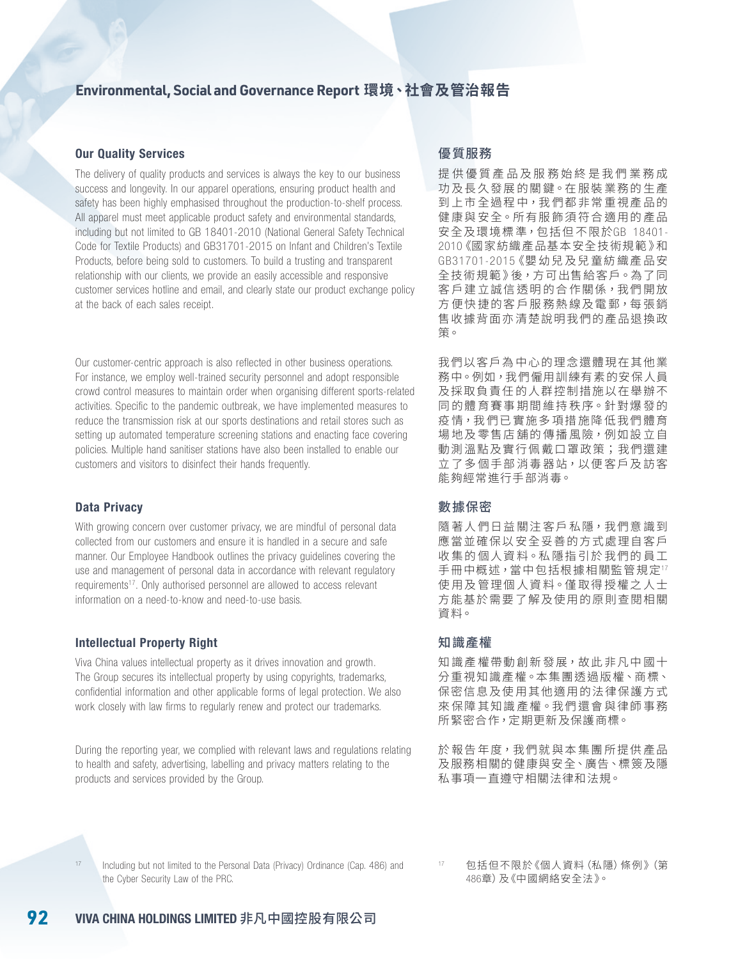#### Our Quality Services

The delivery of quality products and services is always the key to our business success and longevity. In our apparel operations, ensuring product health and safety has been highly emphasised throughout the production-to-shelf process. All apparel must meet applicable product safety and environmental standards, including but not limited to GB 18401-2010 (National General Safety Technical Code for Textile Products) and GB31701-2015 on Infant and Children's Textile Products, before being sold to customers. To build a trusting and transparent relationship with our clients, we provide an easily accessible and responsive customer services hotline and email, and clearly state our product exchange policy at the back of each sales receipt.

Our customer-centric approach is also reflected in other business operations. For instance, we employ well-trained security personnel and adopt responsible crowd control measures to maintain order when organising different sports-related activities. Specific to the pandemic outbreak, we have implemented measures to reduce the transmission risk at our sports destinations and retail stores such as setting up automated temperature screening stations and enacting face covering policies. Multiple hand sanitiser stations have also been installed to enable our customers and visitors to disinfect their hands frequently.

### Data Privacy

With growing concern over customer privacy, we are mindful of personal data collected from our customers and ensure it is handled in a secure and safe manner. Our Employee Handbook outlines the privacy guidelines covering the use and management of personal data in accordance with relevant regulatory requirements<sup>17</sup>. Only authorised personnel are allowed to access relevant information on a need-to-know and need-to-use basis.

#### Intellectual Property Right

Viva China values intellectual property as it drives innovation and growth. The Group secures its intellectual property by using copyrights, trademarks, confidential information and other applicable forms of legal protection. We also work closely with law firms to regularly renew and protect our trademarks.

During the reporting year, we complied with relevant laws and regulations relating to health and safety, advertising, labelling and privacy matters relating to the products and services provided by the Group.

### 優質服務

提供優質產品及服務始終是我們業務成 功及長久發展的關鍵。在服裝業務的生產 到上市全過程中,我們都非常重視產品的 健康與安全。所有服飾須符合適用的產品 安全及環境標準,包括但不限於GB 18401- 2010《國家紡織產品基本安全技術規範》和 GB31701-2015《嬰幼兒及兒童紡織產品安 全技術規範 》後,方可出售給客戶。為了同 客戶建立誠信透明的合作關係,我們開放 方便快捷的客戶服務熱線及電郵,每張銷 售收據背面亦清楚說明我們的產品退換政 策。

我們以客戶為中心的理念還體現在其他業 務中。例如,我們僱用訓練有素的安保人員 及採取負責任的人群控制措施以在舉辦不 同的體育賽事期間維持秩序。針對爆發的 疫情,我們已實施多項措施降低我們體育 場地及零售店舖的傳播風險,例如設立自 動測溫點及實行佩戴口罩政策;我們還建 立了多個手部消毒器站,以便客戶及訪客 能夠經常進行手部消毒。

### 數據保密

隨著人們日益關注客戶私隱,我們意識到 應當並確保以安全妥善的方式處理自客戶 收集的個人資料。私隱指引於我們的員工 手冊中概述,當中包括根據相關監管規定17 使用及管理個人資料。僅取得授權之人士 方能基於需要了解及使用的原則查閱相關 資料。

#### 知識產權

知識產權帶動創新發展,故此非凡中國十 分重視知識產權。本集團透過版權、商標、 保密信息及使用其他適用的法律保護方式 來保障其知識產權。我們還會與律師事務 所緊密合作,定期更新及保護商標。

於報告年度,我們就與本集團所提供產品 及服務相關的健康與安全、廣告、標簽及隱 私事項一直遵守相關法律和法規。

17 Including but not limited to the Personal Data (Privacy) Ordinance (Cap. 486) and the Cyber Security Law of the PRC.

包括但不限於《個人資料(私隱)條例》(第 486章)及《中國網絡安全法》。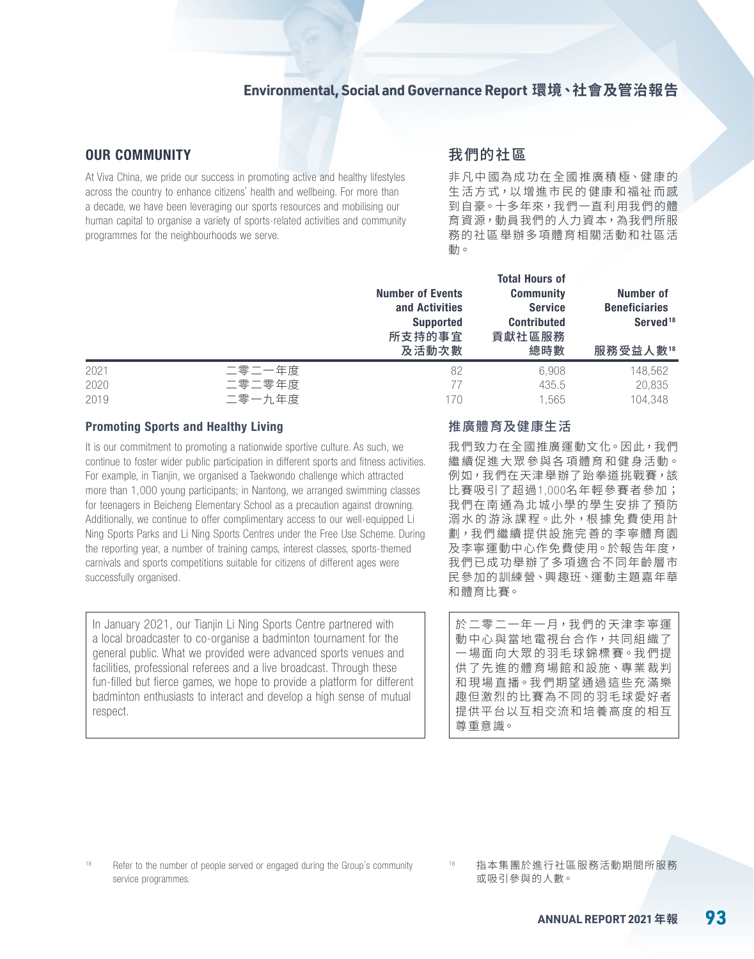### OUR COMMUNITY

At Viva China, we pride our success in promoting active and healthy lifestyles across the country to enhance citizens' health and wellbeing. For more than a decade, we have been leveraging our sports resources and mobilising our human capital to organise a variety of sports-related activities and community programmes for the neighbourhoods we serve.

### 我們的社區

非凡中國為成功在全國推廣積極、健康的 生活方式,以增進市民的健康和福祉而感 到自豪。十多年來,我們一直利用我們的體 育資源,動員我們的人力資本,為我們所服 務的社區舉辦多項體育相關活動和社區活 動。

|      |        | <b>Number of Events</b><br>and Activities<br><b>Supported</b><br>所支持的事宜<br>及活動次數 | <b>Total Hours of</b><br><b>Community</b><br><b>Service</b><br><b>Contributed</b><br>貢獻社區服務<br>總時數 | Number of<br><b>Beneficiaries</b><br>Served <sup>18</sup><br>服務受益人數18 |
|------|--------|----------------------------------------------------------------------------------|----------------------------------------------------------------------------------------------------|-----------------------------------------------------------------------|
| 2021 | 二零二一年度 | 82                                                                               | 6,908                                                                                              | 148,562                                                               |
| 2020 | 二零二零年度 |                                                                                  | 435.5                                                                                              | 20,835                                                                |
| 2019 | 二零一九年度 | 170                                                                              | 1,565                                                                                              | 104.348                                                               |

### Promoting Sports and Healthy Living

It is our commitment to promoting a nationwide sportive culture. As such, we continue to foster wider public participation in different sports and fitness activities. For example, in Tianjin, we organised a Taekwondo challenge which attracted more than 1,000 young participants; in Nantong, we arranged swimming classes for teenagers in Beicheng Elementary School as a precaution against drowning. Additionally, we continue to offer complimentary access to our well-equipped Li Ning Sports Parks and Li Ning Sports Centres under the Free Use Scheme. During the reporting year, a number of training camps, interest classes, sports-themed carnivals and sports competitions suitable for citizens of different ages were successfully organised.

In January 2021, our Tianjin Li Ning Sports Centre partnered with a local broadcaster to co-organise a badminton tournament for the general public. What we provided were advanced sports venues and facilities, professional referees and a live broadcast. Through these fun-filled but fierce games, we hope to provide a platform for different badminton enthusiasts to interact and develop a high sense of mutual respect.

#### 推廣體育及健康生活

我們致力在全國推廣運動文化。因此,我們 繼續促進大眾參與各項體育和健身活動。 例如,我們在天津舉辦了跆拳道挑戰賽,該 比賽吸引了超過1,000名年輕參賽者參加; 我們在南通為北城小學的學生安排了預防 溺水的游泳課程。此外,根據免費使用計 劃,我們繼續提供設施完善的李寧體育園 及李寧運動中心作免費使用。於報告年度, 我們已成功舉辦了多項適合不同年齡層市 民參加的訓練營、興趣班、運動主題嘉年華 和體育比賽。

於二零二一年一月,我們的天津李寧運 動中心與當地電視台合作,共同組織了 一場面向大眾的羽毛球錦標賽。我們提 供了先進的體育場館和設施、專業裁判 和現場直播。我們期望涌過這些充滿樂 趣但激烈的比賽為不同的羽毛球愛好者 提供平台以互相交流和培養高度的相互 尊重意識。

18 Refer to the number of people served or engaged during the Group's community service programmes.

<sup>18</sup> 指本集團於進行社區服務活動期間所服務 或吸引參與的人數。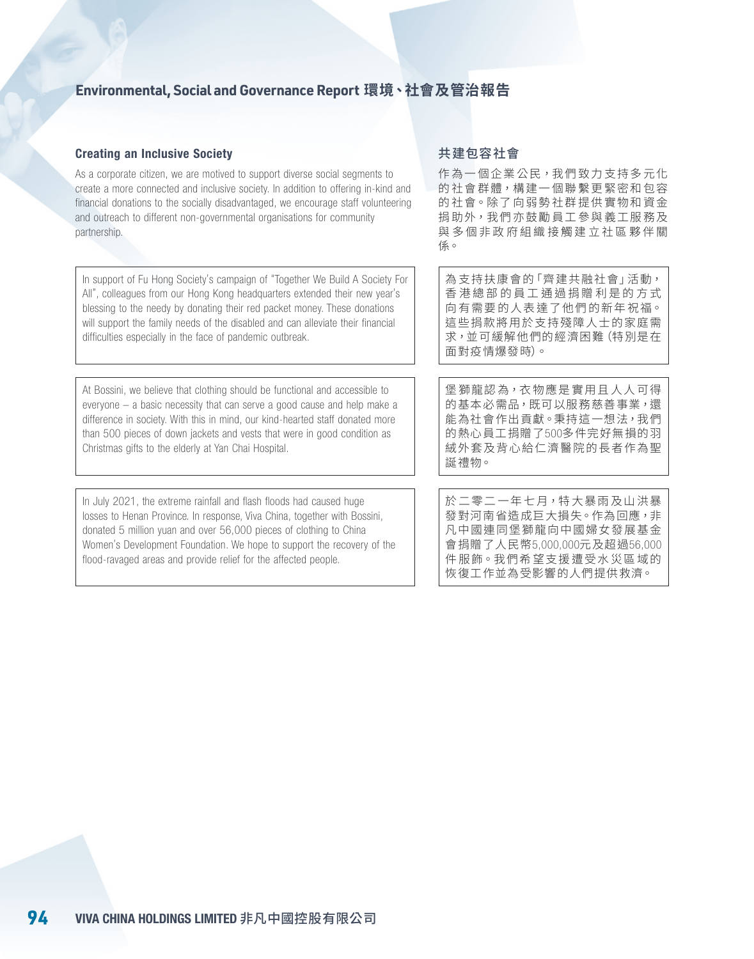### Creating an Inclusive Society

As a corporate citizen, we are motived to support diverse social segments to create a more connected and inclusive society. In addition to offering in-kind and financial donations to the socially disadvantaged, we encourage staff volunteering and outreach to different non-governmental organisations for community partnership.

In support of Fu Hong Society's campaign of "Together We Build A Society For All", colleagues from our Hong Kong headquarters extended their new year's blessing to the needy by donating their red packet money. These donations will support the family needs of the disabled and can alleviate their financial difficulties especially in the face of pandemic outbreak.

At Bossini, we believe that clothing should be functional and accessible to everyone – a basic necessity that can serve a good cause and help make a difference in society. With this in mind, our kind-hearted staff donated more than 500 pieces of down jackets and vests that were in good condition as Christmas gifts to the elderly at Yan Chai Hospital.

In July 2021, the extreme rainfall and flash floods had caused huge losses to Henan Province. In response, Viva China, together with Bossini, donated 5 million yuan and over 56,000 pieces of clothing to China Women's Development Foundation. We hope to support the recovery of the flood-ravaged areas and provide relief for the affected people.

### 共建包容社會

作為一個企業公民,我們致力支持多元化 的社會群體,構建一個聯繫更緊密和包容 的社會。除了向弱勢社群提供實物和資金 捐助外,我們亦鼓勵員工參與義工服務及 與多個非政府組織接觸建立社區夥伴關 係。

為支持扶康會的「齊建共融社會」活動, 香港總部的員工通過捐贈利是的方式 向有需要的人表達了他們的新年祝福。 這些捐款將用於支持殘障人士的家庭需 求,並可緩解他們的經濟困難(特別是在 面對疫情爆發時)。

堡獅龍認為,衣物應是實用且人人可得 的基本必需品,既可以服務慈善事業,還 能為社會作出貢獻。秉持這一想法,我們 的熱心員工捐贈了500多件完好無損的羽 絨外套及背心給仁濟醫院的長者作為聖 誕禮物。

於二零二一年七月,特大暴雨及山洪暴 發對河南省造成巨大損失。作為回應,非 凡中國連同堡獅龍向中國婦女發展基金 會捐贈了人民幣5,000,000元及超過56,000 件服飾。我們希望支援遭受水災區域的 恢復工作並為受影響的人們提供救濟。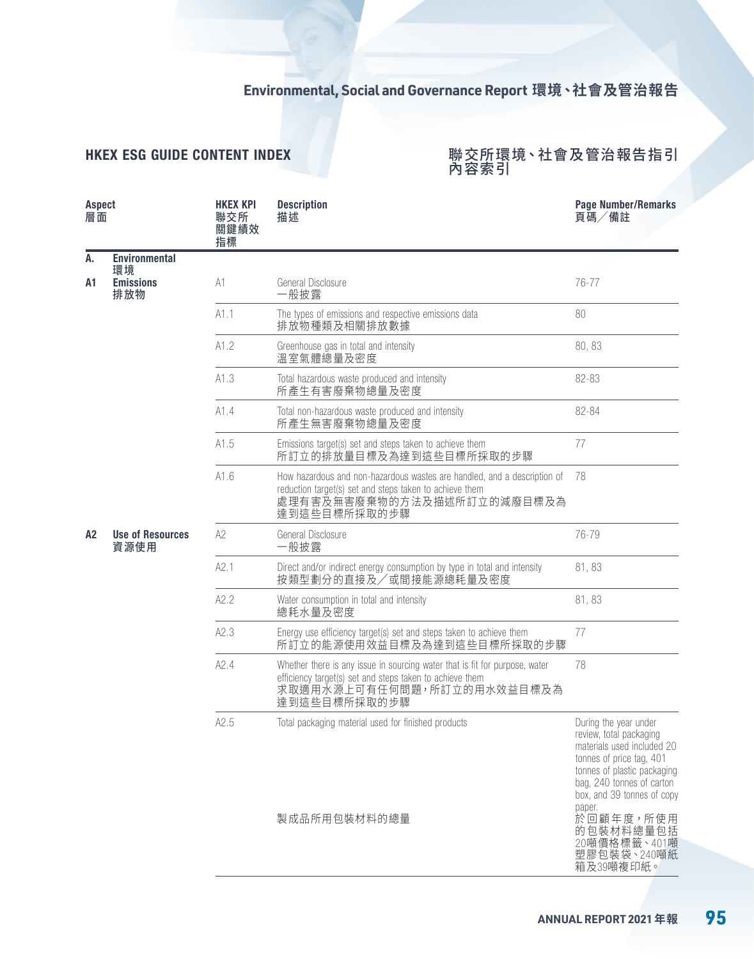### HKEX ESG GUIDE CONTENT INDEX

### 聯交所環境、社會及管治報告指引 內容索引

| <b>Aspect</b><br>層面 |                                 | <b>HKEX KPI</b><br>聯交所<br>關鍵績效<br>指標 | <b>Description</b><br>描述                                                                                                                                                              | <b>Page Number/Remarks</b><br>頁碼/備註                                                                                                                                                                                                                                                  |
|---------------------|---------------------------------|--------------------------------------|---------------------------------------------------------------------------------------------------------------------------------------------------------------------------------------|--------------------------------------------------------------------------------------------------------------------------------------------------------------------------------------------------------------------------------------------------------------------------------------|
| А.                  | <b>Environmental</b>            |                                      |                                                                                                                                                                                       |                                                                                                                                                                                                                                                                                      |
| A1                  | 環境<br><b>Emissions</b><br>排放物   | A1                                   | General Disclosure<br>一般披露                                                                                                                                                            | 76-77                                                                                                                                                                                                                                                                                |
|                     |                                 | A1.1                                 | The types of emissions and respective emissions data<br>排放物種類及相關排放數據                                                                                                                  | 80                                                                                                                                                                                                                                                                                   |
|                     |                                 | A1.2                                 | Greenhouse gas in total and intensity<br>溫室氣體總量及密度                                                                                                                                    | 80,83                                                                                                                                                                                                                                                                                |
|                     |                                 | A1.3                                 | Total hazardous waste produced and intensity<br>所產生有害廢棄物總量及密度                                                                                                                         | 82-83                                                                                                                                                                                                                                                                                |
|                     |                                 | A1.4                                 | Total non-hazardous waste produced and intensity<br>所產生無害廢棄物總量及密度                                                                                                                     | 82-84                                                                                                                                                                                                                                                                                |
|                     |                                 | A1.5                                 | Emissions target(s) set and steps taken to achieve them<br>所訂立的排放量目標及為達到這些目標所採取的步驟                                                                                                    | 77                                                                                                                                                                                                                                                                                   |
|                     |                                 | A1.6                                 | How hazardous and non-hazardous wastes are handled, and a description of<br>reduction target(s) set and steps taken to achieve them<br>處理有害及無害廢棄物的方法及描述所訂立的減廢目標及為<br>達到這些目標所採取的步驟     | 78                                                                                                                                                                                                                                                                                   |
| A2                  | <b>Use of Resources</b><br>資源使用 | A <sub>2</sub>                       | General Disclosure<br>一般披露                                                                                                                                                            | 76-79                                                                                                                                                                                                                                                                                |
|                     |                                 | A2.1                                 | Direct and/or indirect energy consumption by type in total and intensity<br>按類型劃分的直接及/或間接能源總耗量及密度                                                                                     | 81,83                                                                                                                                                                                                                                                                                |
|                     |                                 | A2.2                                 | Water consumption in total and intensity<br>總耗水量及密度                                                                                                                                   | 81,83                                                                                                                                                                                                                                                                                |
|                     |                                 | A2.3                                 | Energy use efficiency target(s) set and steps taken to achieve them<br>所訂立的能源使用效益目標及為達到這些目標所採取的步驟                                                                                     | 77                                                                                                                                                                                                                                                                                   |
|                     |                                 | A2.4                                 | Whether there is any issue in sourcing water that is fit for purpose, water<br>efficiency target(s) set and steps taken to achieve them<br>求取適用水源上可有任何問題,所訂立的用水效益目標及為<br>達到這些目標所採取的步驟 | 78                                                                                                                                                                                                                                                                                   |
|                     |                                 | A2.5                                 | Total packaging material used for finished products<br>製成品所用包裝材料的總量                                                                                                                   | During the year under<br>review, total packaging<br>materials used included 20<br>tonnes of price tag, 401<br>tonnes of plastic packaging<br>bag, 240 tonnes of carton<br>box, and 39 tonnes of copy<br>paper.<br>於回顧年度,所使用<br>的包裝材料總量包括<br>20噸價格標籤、401噸<br>塑膠包裝袋、240噸紙<br>箱及39噸複印紙。 |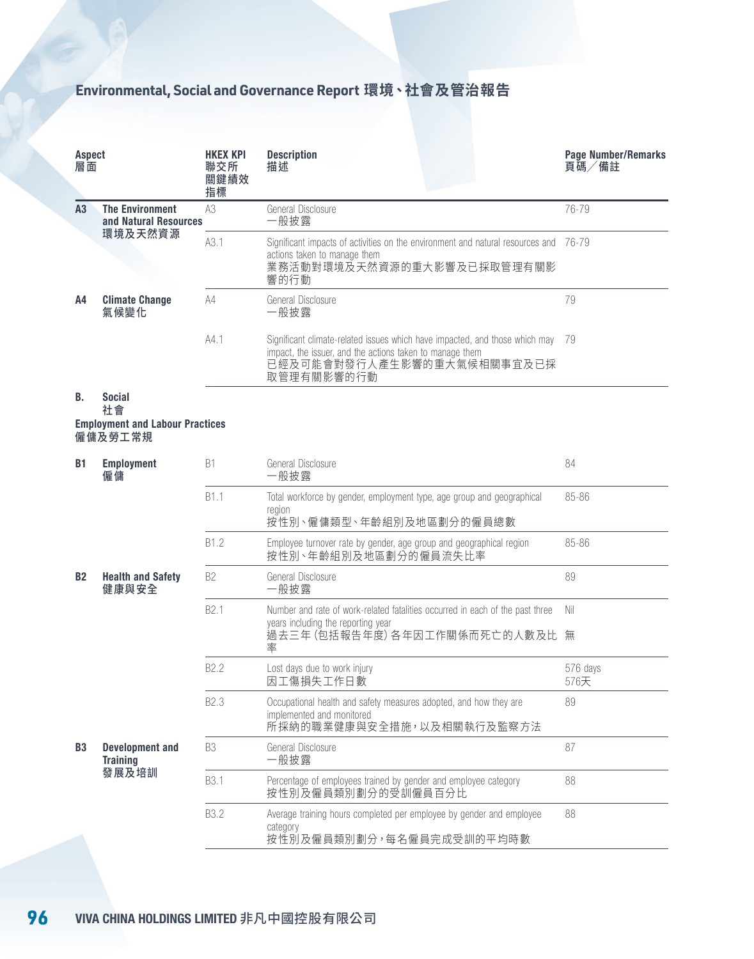| <b>Aspect</b><br>層面 |                                                    | <b>HKEX KPI</b><br>聯交所<br>關鍵績效<br>指標 | <b>Description</b><br>描述                                                                                                                                                            | <b>Page Number/Remarks</b><br>頁碼/備註 |  |
|---------------------|----------------------------------------------------|--------------------------------------|-------------------------------------------------------------------------------------------------------------------------------------------------------------------------------------|-------------------------------------|--|
| A3                  | <b>The Environment</b><br>and Natural Resources    | A3                                   | General Disclosure<br>一般披露                                                                                                                                                          | 76-79                               |  |
|                     | 環境及天然資源                                            | A3.1                                 | Significant impacts of activities on the environment and natural resources and 76-79<br>actions taken to manage them<br>業務活動對環境及天然資源的重大影響及已採取管理有關影<br>響的行動                          |                                     |  |
| A4                  | <b>Climate Change</b><br>氣候變化                      | AA                                   | General Disclosure<br>一般披露                                                                                                                                                          | 79                                  |  |
|                     |                                                    | A4.1                                 | Significant climate-related issues which have impacted, and those which may<br>impact, the issuer, and the actions taken to manage them<br>已經及可能會對發行人產生影響的重大氣候相關事宜及已採<br>取管理有關影響的行動 | - 79                                |  |
| В.                  | <b>Social</b><br>社會                                |                                      |                                                                                                                                                                                     |                                     |  |
|                     | <b>Employment and Labour Practices</b><br>僱傭及勞工常規  |                                      |                                                                                                                                                                                     |                                     |  |
| <b>B1</b>           | <b>Employment</b><br>僱傭                            | <b>B1</b>                            | General Disclosure<br>一般披露                                                                                                                                                          | 84                                  |  |
|                     |                                                    | B1.1                                 | Total workforce by gender, employment type, age group and geographical<br>region<br>按性別、僱傭類型、年齡組別及地區劃分的僱員總數                                                                         | 85-86                               |  |
|                     |                                                    | B1.2                                 | Employee turnover rate by gender, age group and geographical region<br>按性別、年齡組別及地區劃分的僱員流失比率                                                                                         | 85-86                               |  |
| <b>B2</b>           | <b>Health and Safety</b><br>健康與安全                  | B <sub>2</sub>                       | General Disclosure<br>一般披露                                                                                                                                                          | 89                                  |  |
|                     |                                                    | B <sub>2.1</sub>                     | Number and rate of work-related fatalities occurred in each of the past three<br>years including the reporting year<br>過去三年 (包括報告年度) 各年因工作關係而死亡的人數及比 無<br>率                         | Nil                                 |  |
|                     |                                                    | B2.2                                 | Lost days due to work injury<br>因工傷損失工作日數                                                                                                                                           | 576 days<br>576天                    |  |
|                     |                                                    | B2.3                                 | Occupational health and safety measures adopted, and how they are<br>implemented and monitored<br>所採納的職業健康與安全措施,以及相關執行及監察方法                                                         | 89                                  |  |
| <b>B3</b>           | <b>Development and</b><br><b>Training</b><br>發展及培訓 | B3                                   | General Disclosure<br>一般披露                                                                                                                                                          | 87                                  |  |
|                     |                                                    | B3.1                                 | Percentage of employees trained by gender and employee category<br>按性別及僱員類別劃分的受訓僱員百分比                                                                                               | 88                                  |  |
|                     |                                                    | <b>B3.2</b>                          | Average training hours completed per employee by gender and employee<br>category<br>按性別及僱員類別劃分,每名僱員完成受訓的平均時數                                                                        | 88                                  |  |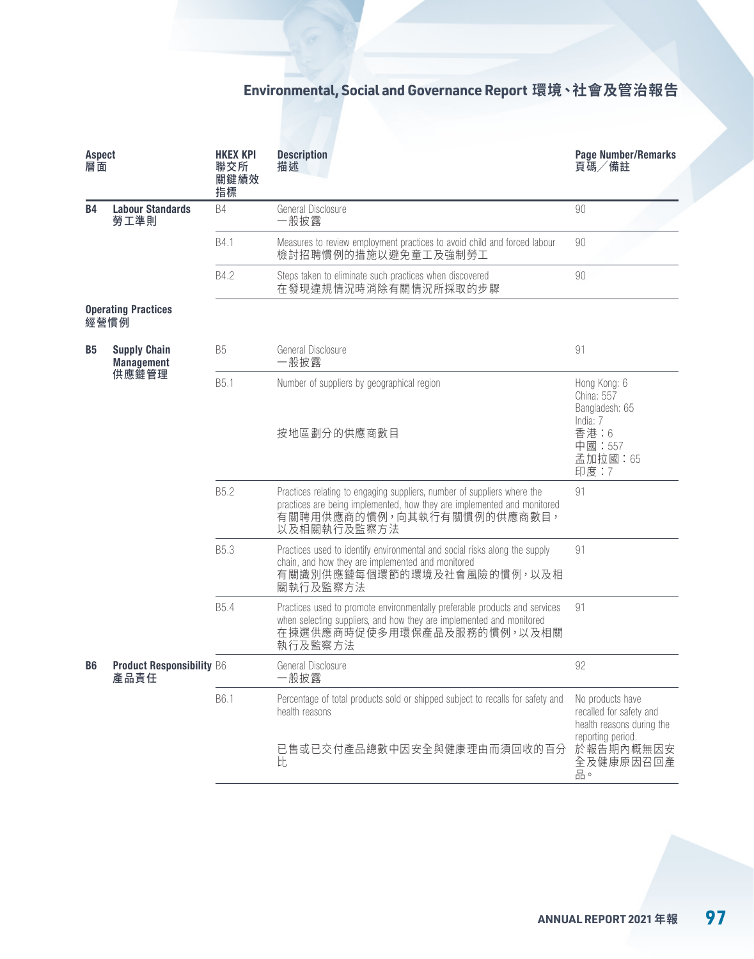| <b>Aspect</b><br>層面 |                                                   | <b>HKEX KPI</b><br>聯交所<br>關鍵績效<br>指標 | <b>Description</b><br>描述                                                                                                                                                                        | <b>Page Number/Remarks</b><br>頁碼/備註                                                                                           |
|---------------------|---------------------------------------------------|--------------------------------------|-------------------------------------------------------------------------------------------------------------------------------------------------------------------------------------------------|-------------------------------------------------------------------------------------------------------------------------------|
| <b>B4</b>           | <b>Labour Standards</b><br>勞工準則                   | B4                                   | General Disclosure<br>一般披露                                                                                                                                                                      | 90                                                                                                                            |
|                     |                                                   | B4.1                                 | Measures to review employment practices to avoid child and forced labour<br>檢討招聘慣例的措施以避免童工及強制勞工                                                                                                 | 90                                                                                                                            |
|                     |                                                   | B4.2                                 | Steps taken to eliminate such practices when discovered<br>在發現違規情況時消除有關情況所採取的步驟                                                                                                                 | 90                                                                                                                            |
|                     | <b>Operating Practices</b><br>經營慣例                |                                      |                                                                                                                                                                                                 |                                                                                                                               |
| <b>B5</b>           | <b>Supply Chain</b><br><b>Management</b><br>供應鏈管理 | <b>B5</b>                            | General Disclosure<br>一般披露                                                                                                                                                                      | 91                                                                                                                            |
|                     |                                                   | B5.1                                 | Number of suppliers by geographical region<br>按地區劃分的供應商數目                                                                                                                                       | Hong Kong: 6<br>China: 557<br>Bangladesh: 65<br>India: 7<br>香港:6<br>中國: 557<br>孟加拉國:65<br>印度:7                                |
|                     |                                                   | B5.2                                 | Practices relating to engaging suppliers, number of suppliers where the<br>practices are being implemented, how they are implemented and monitored<br>有關聘用供應商的慣例,向其執行有關慣例的供應商數目,<br>以及相關執行及監察方法 | 91                                                                                                                            |
|                     |                                                   | <b>B5.3</b>                          | Practices used to identify environmental and social risks along the supply<br>chain, and how they are implemented and monitored<br>有關識別供應鏈每個環節的環境及社會風險的慣例,以及相<br>關執行及監察方法                       | 91                                                                                                                            |
|                     |                                                   | B5.4                                 | Practices used to promote environmentally preferable products and services<br>when selecting suppliers, and how they are implemented and monitored<br>在揀選供應商時促使多用環保產品及服務的慣例, 以及相關<br>執行及監察方法    | 91                                                                                                                            |
| <b>B6</b>           | <b>Product Responsibility B6</b><br>產品責任          |                                      | General Disclosure<br>一般披露                                                                                                                                                                      | 92                                                                                                                            |
|                     |                                                   | B6.1                                 | Percentage of total products sold or shipped subject to recalls for safety and<br>health reasons<br>已售或已交付產品總數中因安全與健康理由而須回收的百分<br>比                                                             | No products have<br>recalled for safety and<br>health reasons during the<br>reporting period.<br>於報告期內概無因安<br>全及健康原因召回產<br>品。 |